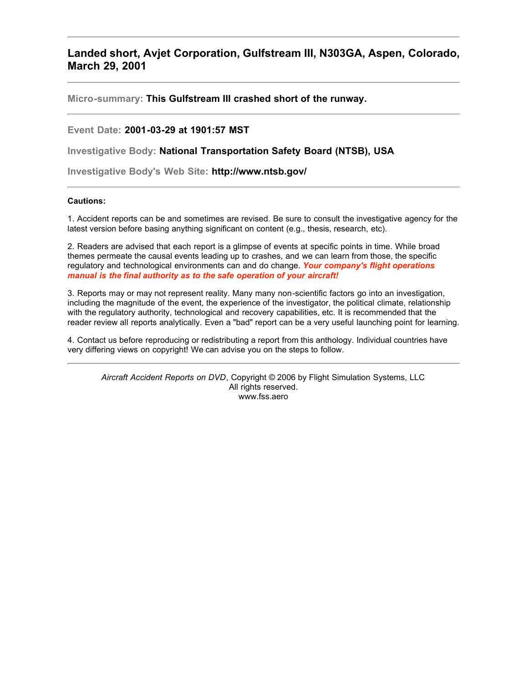# **Landed short, Avjet Corporation, Gulfstream III, N303GA, Aspen, Colorado, March 29, 2001**

**Micro-summary: This Gulfstream III crashed short of the runway.**

**Event Date: 2001-03-29 at 1901:57 MST**

**Investigative Body: National Transportation Safety Board (NTSB), USA**

**Investigative Body's Web Site: http://www.ntsb.gov/**

#### **Cautions:**

1. Accident reports can be and sometimes are revised. Be sure to consult the investigative agency for the latest version before basing anything significant on content (e.g., thesis, research, etc).

2. Readers are advised that each report is a glimpse of events at specific points in time. While broad themes permeate the causal events leading up to crashes, and we can learn from those, the specific regulatory and technological environments can and do change. *Your company's flight operations manual is the final authority as to the safe operation of your aircraft!*

3. Reports may or may not represent reality. Many many non-scientific factors go into an investigation, including the magnitude of the event, the experience of the investigator, the political climate, relationship with the regulatory authority, technological and recovery capabilities, etc. It is recommended that the reader review all reports analytically. Even a "bad" report can be a very useful launching point for learning.

4. Contact us before reproducing or redistributing a report from this anthology. Individual countries have very differing views on copyright! We can advise you on the steps to follow.

*Aircraft Accident Reports on DVD*, Copyright © 2006 by Flight Simulation Systems, LLC All rights reserved. www.fss.aero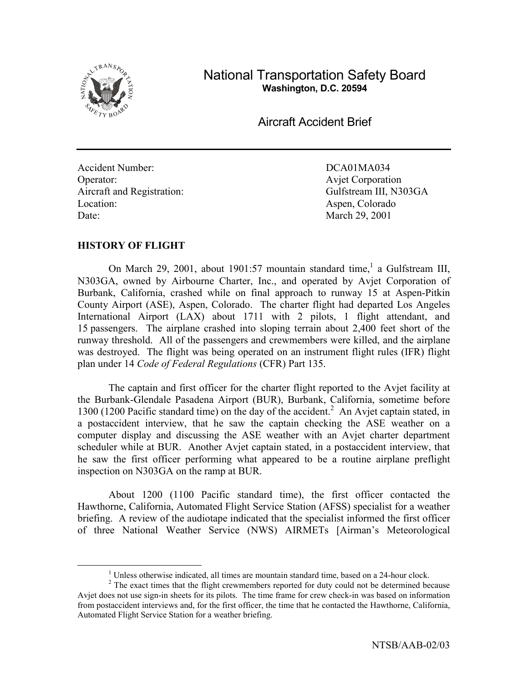

National Transportation Safety Board **Washington, D.C. 20594** 

Aircraft Accident Brief

Accident Number: DCA01MA034 Operator: Avjet Corporation Aircraft and Registration: Gulfstream III, N303GA Location: Aspen, Colorado Date: March 29, 2001

# **HISTORY OF FLIGHT**

On March 29, 2001, about 1901:57 mountain standard time,<sup>1</sup> a Gulfstream III, N303GA, owned by Airbourne Charter, Inc., and operated by Avjet Corporation of Burbank, California, crashed while on final approach to runway 15 at Aspen-Pitkin County Airport (ASE), Aspen, Colorado. The charter flight had departed Los Angeles International Airport (LAX) about 1711 with 2 pilots, 1 flight attendant, and 15 passengers. The airplane crashed into sloping terrain about 2,400 feet short of the runway threshold. All of the passengers and crewmembers were killed, and the airplane was destroyed. The flight was being operated on an instrument flight rules (IFR) flight plan under 14 *Code of Federal Regulations* (CFR) Part 135.

 The captain and first officer for the charter flight reported to the Avjet facility at the Burbank-Glendale Pasadena Airport (BUR), Burbank, California, sometime before 1300 (1200 Pacific standard time) on the day of the accident.<sup>2</sup> An Avjet captain stated, in a postaccident interview, that he saw the captain checking the ASE weather on a computer display and discussing the ASE weather with an Avjet charter department scheduler while at BUR. Another Avjet captain stated, in a postaccident interview, that he saw the first officer performing what appeared to be a routine airplane preflight inspection on N303GA on the ramp at BUR.

 About 1200 (1100 Pacific standard time), the first officer contacted the Hawthorne, California, Automated Flight Service Station (AFSS) specialist for a weather briefing. A review of the audiotape indicated that the specialist informed the first officer of three National Weather Service (NWS) AIRMETs [Airman's Meteorological

 $\begin{array}{c|c}\n\hline\n\end{array}$ <sup>1</sup> Unless otherwise indicated, all times are mountain standard time, based on a 24-hour clock.

 $2^2$  The exact times that the flight crewmembers reported for duty could not be determined because Avjet does not use sign-in sheets for its pilots. The time frame for crew check-in was based on information from postaccident interviews and, for the first officer, the time that he contacted the Hawthorne, California, Automated Flight Service Station for a weather briefing.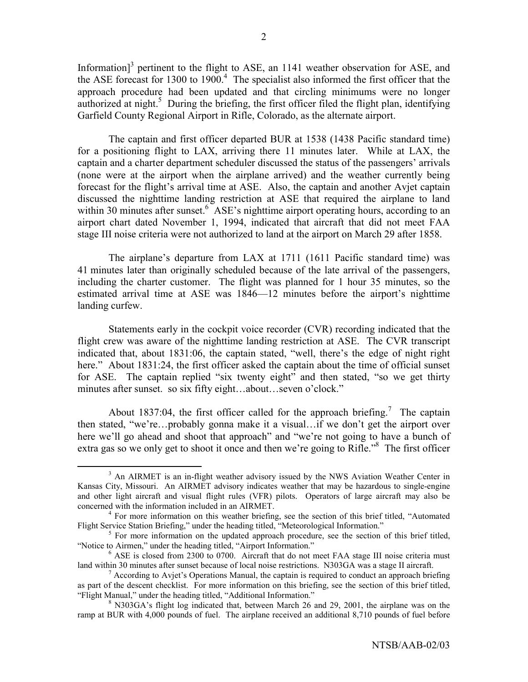Information] $3$  pertinent to the flight to ASE, an 1141 weather observation for ASE, and the ASE forecast for 1300 to 1900. $4$  The specialist also informed the first officer that the approach procedure had been updated and that circling minimums were no longer authorized at night.<sup>5</sup> During the briefing, the first officer filed the flight plan, identifying Garfield County Regional Airport in Rifle, Colorado, as the alternate airport.

 The captain and first officer departed BUR at 1538 (1438 Pacific standard time) for a positioning flight to LAX, arriving there 11 minutes later. While at LAX, the captain and a charter department scheduler discussed the status of the passengers' arrivals (none were at the airport when the airplane arrived) and the weather currently being forecast for the flight's arrival time at ASE. Also, the captain and another Avjet captain discussed the nighttime landing restriction at ASE that required the airplane to land within 30 minutes after sunset.<sup>6</sup> ASE's nighttime airport operating hours, according to an airport chart dated November 1, 1994, indicated that aircraft that did not meet FAA stage III noise criteria were not authorized to land at the airport on March 29 after 1858.

The airplane's departure from LAX at 1711 (1611 Pacific standard time) was 41 minutes later than originally scheduled because of the late arrival of the passengers, including the charter customer. The flight was planned for 1 hour 35 minutes, so the estimated arrival time at ASE was 1846—12 minutes before the airport's nighttime landing curfew.

 Statements early in the cockpit voice recorder (CVR) recording indicated that the flight crew was aware of the nighttime landing restriction at ASE. The CVR transcript indicated that, about 1831:06, the captain stated, "well, there's the edge of night right here." About 1831:24, the first officer asked the captain about the time of official sunset for ASE. The captain replied "six twenty eight" and then stated, "so we get thirty minutes after sunset. so six fifty eight...about...seven o'clock."

About 1837:04, the first officer called for the approach briefing.<sup>7</sup> The captain then stated, "we're...probably gonna make it a visual...if we don't get the airport over here we'll go ahead and shoot that approach" and "we're not going to have a bunch of extra gas so we only get to shoot it once and then we're going to Rifle.<sup>38</sup> The first officer

 <sup>3</sup> <sup>3</sup> An AIRMET is an in-flight weather advisory issued by the NWS Aviation Weather Center in Kansas City, Missouri. An AIRMET advisory indicates weather that may be hazardous to single-engine and other light aircraft and visual flight rules (VFR) pilots. Operators of large aircraft may also be concerned with the information included in an AIRMET. 4

 $<sup>4</sup>$  For more information on this weather briefing, see the section of this brief titled, "Automated</sup> Flight Service Station Briefing," under the heading titled, "Meteorological Information."

 $5$  For more information on the updated approach procedure, see the section of this brief titled, "Notice to Airmen," under the heading titled, "Airport Information."

 $6$  ASE is closed from 2300 to 0700. Aircraft that do not meet FAA stage III noise criteria must land within 30 minutes after sunset because of local noise restrictions. N303GA was a stage II aircraft.

<sup>&</sup>lt;sup>7</sup> According to Avjet's Operations Manual, the captain is required to conduct an approach briefing as part of the descent checklist. For more information on this briefing, see the section of this brief titled, "Flight Manual," under the heading titled, "Additional Information."

<sup>&</sup>lt;sup>8</sup> N303GA's flight log indicated that, between March 26 and 29, 2001, the airplane was on the ramp at BUR with 4,000 pounds of fuel. The airplane received an additional 8,710 pounds of fuel before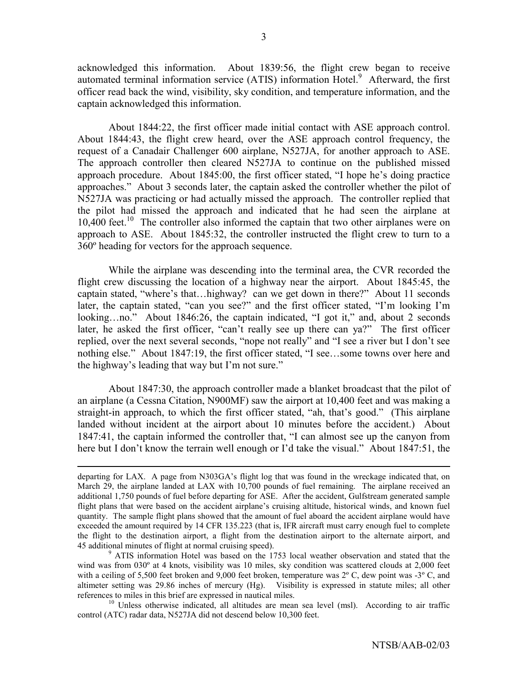acknowledged this information. About 1839:56, the flight crew began to receive automated terminal information service (ATIS) information Hotel.<sup>9</sup> Afterward, the first officer read back the wind, visibility, sky condition, and temperature information, and the captain acknowledged this information.

About 1844:22, the first officer made initial contact with ASE approach control. About 1844:43, the flight crew heard, over the ASE approach control frequency, the request of a Canadair Challenger 600 airplane, N527JA, for another approach to ASE. The approach controller then cleared N527JA to continue on the published missed approach procedure. About  $1845:00$ , the first officer stated, "I hope he's doing practice approaches." About 3 seconds later, the captain asked the controller whether the pilot of N527JA was practicing or had actually missed the approach. The controller replied that the pilot had missed the approach and indicated that he had seen the airplane at  $10,400$  feet.<sup>10</sup> The controller also informed the captain that two other airplanes were on approach to ASE. About 1845:32, the controller instructed the flight crew to turn to a 360º heading for vectors for the approach sequence.

While the airplane was descending into the terminal area, the CVR recorded the flight crew discussing the location of a highway near the airport. About 1845:45, the captain stated, "where's that...highway? can we get down in there?" About 11 seconds later, the captain stated, "can you see?" and the first officer stated, "I'm looking I'm looking...no." About 1846:26, the captain indicated, "I got it," and, about 2 seconds later, he asked the first officer, "can't really see up there can ya?" The first officer replied, over the next several seconds, "nope not really" and "I see a river but I don't see nothing else." About 1847:19, the first officer stated, "I see...some towns over here and the highway's leading that way but I'm not sure."

About 1847:30, the approach controller made a blanket broadcast that the pilot of an airplane (a Cessna Citation, N900MF) saw the airport at 10,400 feet and was making a straight-in approach, to which the first officer stated, "ah, that's good." (This airplane landed without incident at the airport about 10 minutes before the accident.) About 1847:41, the captain informed the controller that, "I can almost see up the canyon from here but I don't know the terrain well enough or I'd take the visual." About 1847:51, the

 $\overline{a}$ 

departing for LAX. A page from N303GA's flight log that was found in the wreckage indicated that, on March 29, the airplane landed at LAX with 10,700 pounds of fuel remaining. The airplane received an additional 1,750 pounds of fuel before departing for ASE. After the accident, Gulfstream generated sample flight plans that were based on the accident airplane's cruising altitude, historical winds, and known fuel quantity. The sample flight plans showed that the amount of fuel aboard the accident airplane would have exceeded the amount required by 14 CFR 135.223 (that is, IFR aircraft must carry enough fuel to complete the flight to the destination airport, a flight from the destination airport to the alternate airport, and 45 additional minutes of flight at normal cruising speed). 9

<sup>&</sup>lt;sup>9</sup> ATIS information Hotel was based on the 1753 local weather observation and stated that the wind was from 030º at 4 knots, visibility was 10 miles, sky condition was scattered clouds at 2,000 feet with a ceiling of 5,500 feet broken and 9,000 feet broken, temperature was  $2^{\circ}$  C, dew point was  $-3^{\circ}$  C, and altimeter setting was 29.86 inches of mercury (Hg). Visibility is expressed in statute miles; all other references to miles in this brief are expressed in nautical miles.<br><sup>10</sup> Unless otherwise indicated, all altitudes are mean sea level (msl). According to air traffic

control (ATC) radar data, N527JA did not descend below 10,300 feet.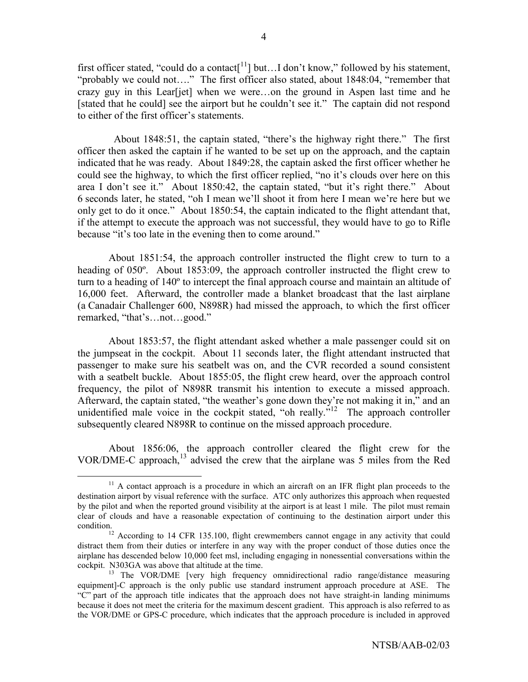first officer stated, "could do a contact<sup>[11</sup>] but...I don't know," followed by his statement, "probably we could not...." The first officer also stated, about  $1848:04$ , "remember that crazy guy in this Lear  $[jet]$  when we were...on the ground in Aspen last time and he [stated that he could] see the airport but he couldn't see it." The captain did not respond to either of the first officer's statements.

About 1848:51, the captain stated, "there's the highway right there." The first officer then asked the captain if he wanted to be set up on the approach, and the captain indicated that he was ready. About 1849:28, the captain asked the first officer whether he could see the highway, to which the first officer replied, "no it's clouds over here on this area I don't see it." About 1850:42, the captain stated, "but it's right there." About 6 seconds later, he stated, "oh I mean we'll shoot it from here I mean we're here but we only get to do it once." About 1850:54, the captain indicated to the flight attendant that, if the attempt to execute the approach was not successful, they would have to go to Rifle because "it's too late in the evening then to come around."

About 1851:54, the approach controller instructed the flight crew to turn to a heading of 050º. About 1853:09, the approach controller instructed the flight crew to turn to a heading of 140º to intercept the final approach course and maintain an altitude of 16,000 feet. Afterward, the controller made a blanket broadcast that the last airplane (a Canadair Challenger 600, N898R) had missed the approach, to which the first officer remarked, "that's...not...good."

About 1853:57, the flight attendant asked whether a male passenger could sit on the jumpseat in the cockpit. About 11 seconds later, the flight attendant instructed that passenger to make sure his seatbelt was on, and the CVR recorded a sound consistent with a seatbelt buckle. About 1855:05, the flight crew heard, over the approach control frequency, the pilot of N898R transmit his intention to execute a missed approach. Afterward, the captain stated, "the weather's gone down they're not making it in," and an unidentified male voice in the cockpit stated, "oh really. $i<sup>12</sup>$  The approach controller subsequently cleared N898R to continue on the missed approach procedure.

About 1856:06, the approach controller cleared the flight crew for the VOR/DME-C approach,13 advised the crew that the airplane was 5 miles from the Red

 $11$  A contact approach is a procedure in which an aircraft on an IFR flight plan proceeds to the destination airport by visual reference with the surface. ATC only authorizes this approach when requested by the pilot and when the reported ground visibility at the airport is at least 1 mile. The pilot must remain clear of clouds and have a reasonable expectation of continuing to the destination airport under this

condition.<br><sup>12</sup> According to 14 CFR 135.100, flight crewmembers cannot engage in any activity that could distract them from their duties or interfere in any way with the proper conduct of those duties once the airplane has descended below 10,000 feet msl, including engaging in nonessential conversations within the cockpit. N303GA was above that altitude at the time.

<sup>&</sup>lt;sup>13</sup> The VOR/DME [very high frequency omnidirectional radio range/distance measuring equipment]-C approach is the only public use standard instrument approach procedure at ASE. The ìCî part of the approach title indicates that the approach does not have straight-in landing minimums because it does not meet the criteria for the maximum descent gradient. This approach is also referred to as the VOR/DME or GPS-C procedure, which indicates that the approach procedure is included in approved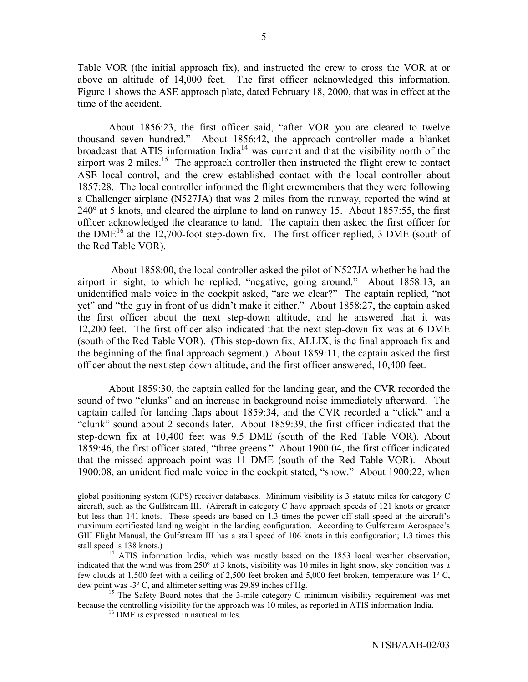Table VOR (the initial approach fix), and instructed the crew to cross the VOR at or above an altitude of 14,000 feet. The first officer acknowledged this information. Figure 1 shows the ASE approach plate, dated February 18, 2000, that was in effect at the time of the accident.

About 1856:23, the first officer said, "after VOR you are cleared to twelve thousand seven hundred." About 1856:42, the approach controller made a blanket broadcast that ATIS information  $\text{India}^{14}$  was current and that the visibility north of the airport was 2 miles.<sup>15</sup> The approach controller then instructed the flight crew to contact ASE local control, and the crew established contact with the local controller about 1857:28. The local controller informed the flight crewmembers that they were following a Challenger airplane (N527JA) that was 2 miles from the runway, reported the wind at 240º at 5 knots, and cleared the airplane to land on runway 15. About 1857:55, the first officer acknowledged the clearance to land. The captain then asked the first officer for the  $DME^{16}$  at the 12,700-foot step-down fix. The first officer replied, 3 DME (south of the Red Table VOR).

 About 1858:00, the local controller asked the pilot of N527JA whether he had the airport in sight, to which he replied, "negative, going around." About 1858:13, an unidentified male voice in the cockpit asked, "are we clear?" The captain replied, "not yet" and "the guy in front of us didn't make it either." About 1858:27, the captain asked the first officer about the next step-down altitude, and he answered that it was 12,200 feet. The first officer also indicated that the next step-down fix was at 6 DME (south of the Red Table VOR). (This step-down fix, ALLIX, is the final approach fix and the beginning of the final approach segment.) About 1859:11, the captain asked the first officer about the next step-down altitude, and the first officer answered, 10,400 feet.

About 1859:30, the captain called for the landing gear, and the CVR recorded the sound of two "clunks" and an increase in background noise immediately afterward. The captain called for landing flaps about 1859:34, and the CVR recorded a "click" and a ìclunkî sound about 2 seconds later. About 1859:39, the first officer indicated that the step-down fix at 10,400 feet was 9.5 DME (south of the Red Table VOR). About 1859:46, the first officer stated, "three greens." About 1900:04, the first officer indicated that the missed approach point was 11 DME (south of the Red Table VOR). About  $1900:08$ , an unidentified male voice in the cockpit stated, "snow." About 1900:22, when

global positioning system (GPS) receiver databases. Minimum visibility is 3 statute miles for category C aircraft, such as the Gulfstream III. (Aircraft in category C have approach speeds of 121 knots or greater but less than 141 knots. These speeds are based on 1.3 times the power-off stall speed at the aircraft's maximum certificated landing weight in the landing configuration. According to Gulfstream Aerospace's GIII Flight Manual, the Gulfstream III has a stall speed of 106 knots in this configuration; 1.3 times this stall speed is 138 knots.)<br><sup>14</sup> ATIS information India, which was mostly based on the 1853 local weather observation,

indicated that the wind was from 250º at 3 knots, visibility was 10 miles in light snow, sky condition was a few clouds at 1,500 feet with a ceiling of 2,500 feet broken and 5,000 feet broken, temperature was 1º C, dew point was -3° C, and altimeter setting was 29.89 inches of Hg.<br><sup>15</sup> The Safety Board notes that the 3-mile category C minimum visibility requirement was met

because the controlling visibility for the approach was 10 miles, as reported in ATIS information India. 16 DME is expressed in nautical miles.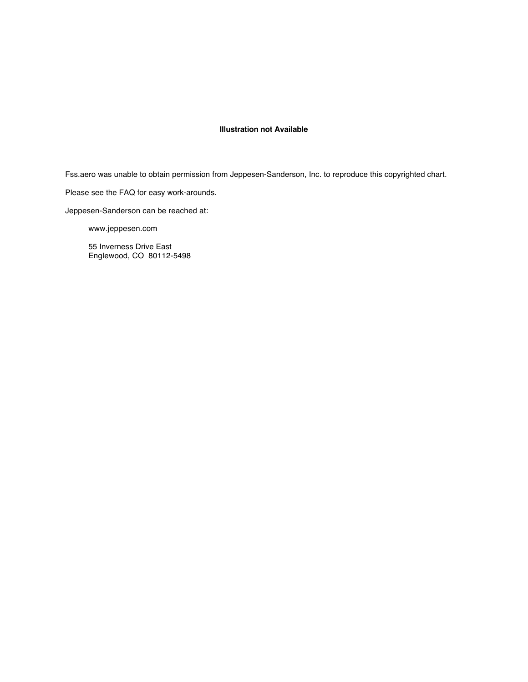#### **Illustration not Available**

Fss.aero was unable to obtain permission from Jeppesen-Sanderson, Inc. to reproduce this copyrighted chart.

Please see the FAQ for easy work-arounds.

Jeppesen-Sanderson can be reached at:

www.jeppesen.com

55 Inverness Drive East Englewood, CO 80112-5498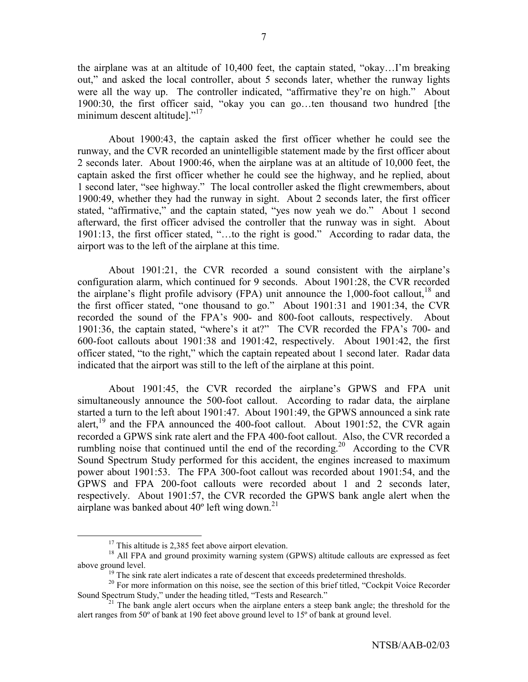the airplane was at an altitude of  $10,400$  feet, the captain stated, "okay...I'm breaking out," and asked the local controller, about 5 seconds later, whether the runway lights were all the way up. The controller indicated, "affirmative they're on high." About 1900:30, the first officer said, "okay you can go...ten thousand two hundred [the minimum descent altitude]. $117$ 

About 1900:43, the captain asked the first officer whether he could see the runway, and the CVR recorded an unintelligible statement made by the first officer about 2 seconds later. About 1900:46, when the airplane was at an altitude of 10,000 feet, the captain asked the first officer whether he could see the highway, and he replied, about 1 second later, "see highway." The local controller asked the flight crewmembers, about 1900:49, whether they had the runway in sight. About 2 seconds later, the first officer stated, "affirmative," and the captain stated, "yes now yeah we do." About 1 second afterward, the first officer advised the controller that the runway was in sight. About  $1901:13$ , the first officer stated, "...to the right is good." According to radar data, the airport was to the left of the airplane at this time.

About 1901:21, the CVR recorded a sound consistent with the airplane's configuration alarm, which continued for 9 seconds. About 1901:28, the CVR recorded the airplane's flight profile advisory (FPA) unit announce the  $1,000$ -foot callout.<sup>18</sup> and the first officer stated, "one thousand to go." About  $1901:31$  and  $1901:34$ , the CVR recorded the sound of the FPA's 900- and 800-foot callouts, respectively. About 1901:36, the captain stated, "where's it at?" The CVR recorded the FPA's 700- and 600-foot callouts about 1901:38 and 1901:42, respectively. About 1901:42, the first officer stated, "to the right," which the captain repeated about 1 second later. Radar data indicated that the airport was still to the left of the airplane at this point.

About 1901:45, the CVR recorded the airplane's GPWS and FPA unit simultaneously announce the 500-foot callout. According to radar data, the airplane started a turn to the left about 1901:47. About 1901:49, the GPWS announced a sink rate alert,<sup>19</sup> and the FPA announced the 400-foot callout. About 1901:52, the CVR again recorded a GPWS sink rate alert and the FPA 400-foot callout. Also, the CVR recorded a rumbling noise that continued until the end of the recording.<sup>20</sup> According to the CVR Sound Spectrum Study performed for this accident, the engines increased to maximum power about 1901:53. The FPA 300-foot callout was recorded about 1901:54, and the GPWS and FPA 200-foot callouts were recorded about 1 and 2 seconds later, respectively. About 1901:57, the CVR recorded the GPWS bank angle alert when the airplane was banked about  $40^{\circ}$  left wing down.<sup>21</sup>

 $17$  This altitude is 2,385 feet above airport elevation.

<sup>&</sup>lt;sup>18</sup> All FPA and ground proximity warning system (GPWS) altitude callouts are expressed as feet above ground level.<br><sup>19</sup> The sink rate alert indicates a rate of descent that exceeds predetermined thresholds.

<sup>&</sup>lt;sup>20</sup> For more information on this noise, see the section of this brief titled, "Cockpit Voice Recorder Sound Spectrum Study," under the heading titled, "Tests and Research."<br><sup>21</sup> The bank angle alert occurs when the airplane enters a steep bank angle; the threshold for the

alert ranges from 50º of bank at 190 feet above ground level to 15º of bank at ground level.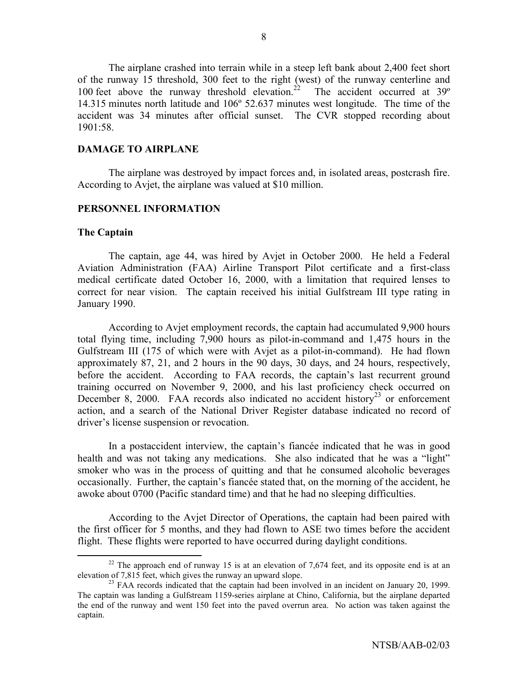The airplane crashed into terrain while in a steep left bank about 2,400 feet short of the runway 15 threshold, 300 feet to the right (west) of the runway centerline and 100 feet above the runway threshold elevation.<sup>22</sup> The accident occurred at  $39^\circ$ 14.315 minutes north latitude and 106º 52.637 minutes west longitude. The time of the accident was 34 minutes after official sunset. The CVR stopped recording about 1901:58.

### **DAMAGE TO AIRPLANE**

 The airplane was destroyed by impact forces and, in isolated areas, postcrash fire. According to Avjet, the airplane was valued at \$10 million.

### **PERSONNEL INFORMATION**

### **The Captain**

The captain, age 44, was hired by Avjet in October 2000. He held a Federal Aviation Administration (FAA) Airline Transport Pilot certificate and a first-class medical certificate dated October 16, 2000, with a limitation that required lenses to correct for near vision. The captain received his initial Gulfstream III type rating in January 1990.

According to Avjet employment records, the captain had accumulated 9,900 hours total flying time, including 7,900 hours as pilot-in-command and 1,475 hours in the Gulfstream III (175 of which were with Avjet as a pilot-in-command). He had flown approximately 87, 21, and 2 hours in the 90 days, 30 days, and 24 hours, respectively, before the accident. According to FAA records, the captain's last recurrent ground training occurred on November 9, 2000, and his last proficiency check occurred on December 8, 2000. FAA records also indicated no accident history<sup>23</sup> or enforcement action, and a search of the National Driver Register database indicated no record of driver's license suspension or revocation.

In a postaccident interview, the captain's fiancée indicated that he was in good health and was not taking any medications. She also indicated that he was a "light" smoker who was in the process of quitting and that he consumed alcoholic beverages occasionally. Further, the captain's fiancée stated that, on the morning of the accident, he awoke about 0700 (Pacific standard time) and that he had no sleeping difficulties.

According to the Avjet Director of Operations, the captain had been paired with the first officer for 5 months, and they had flown to ASE two times before the accident flight. These flights were reported to have occurred during daylight conditions.

<sup>&</sup>lt;sup>22</sup> The approach end of runway 15 is at an elevation of 7,674 feet, and its opposite end is at an elevation of 7,815 feet, which gives the runway an upward slope.<br><sup>23</sup> FAA records indicated that the captain had been involved in an incident on January 20, 1999.

The captain was landing a Gulfstream 1159-series airplane at Chino, California, but the airplane departed the end of the runway and went 150 feet into the paved overrun area. No action was taken against the captain.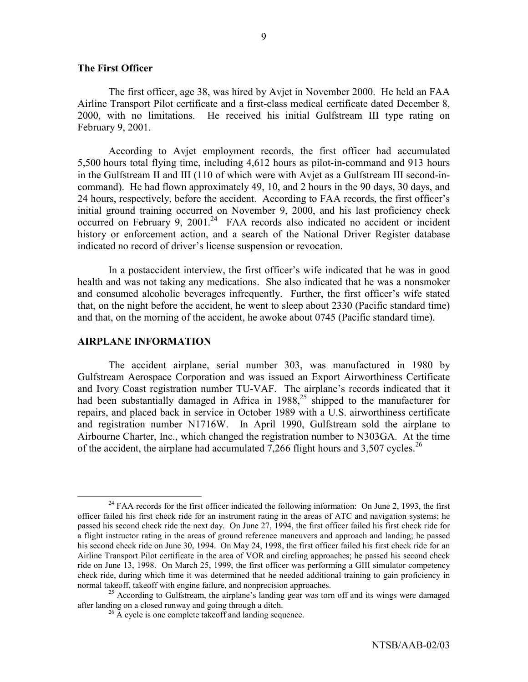### **The First Officer**

The first officer, age 38, was hired by Avjet in November 2000. He held an FAA Airline Transport Pilot certificate and a first-class medical certificate dated December 8, 2000, with no limitations. He received his initial Gulfstream III type rating on February 9, 2001.

According to Avjet employment records, the first officer had accumulated 5,500 hours total flying time, including 4,612 hours as pilot-in-command and 913 hours in the Gulfstream II and III (110 of which were with Avjet as a Gulfstream III second-incommand). He had flown approximately 49, 10, and 2 hours in the 90 days, 30 days, and 24 hours, respectively, before the accident. According to FAA records, the first officer's initial ground training occurred on November 9, 2000, and his last proficiency check occurred on February 9, 2001.<sup>24</sup> FAA records also indicated no accident or incident history or enforcement action, and a search of the National Driver Register database indicated no record of driver's license suspension or revocation.

In a postaccident interview, the first officer's wife indicated that he was in good health and was not taking any medications. She also indicated that he was a nonsmoker and consumed alcoholic beverages infrequently. Further, the first officer's wife stated that, on the night before the accident, he went to sleep about 2330 (Pacific standard time) and that, on the morning of the accident, he awoke about 0745 (Pacific standard time).

#### **AIRPLANE INFORMATION**

 The accident airplane, serial number 303, was manufactured in 1980 by Gulfstream Aerospace Corporation and was issued an Export Airworthiness Certificate and Ivory Coast registration number TU-VAF. The airplane's records indicated that it had been substantially damaged in Africa in  $1988$ ,<sup>25</sup> shipped to the manufacturer for repairs, and placed back in service in October 1989 with a U.S. airworthiness certificate and registration number N1716W. In April 1990, Gulfstream sold the airplane to Airbourne Charter, Inc., which changed the registration number to N303GA. At the time of the accident, the airplane had accumulated 7,266 flight hours and 3,507 cycles.<sup>26</sup>

<sup>&</sup>lt;sup>24</sup> FAA records for the first officer indicated the following information: On June 2, 1993, the first officer failed his first check ride for an instrument rating in the areas of ATC and navigation systems; he passed his second check ride the next day. On June 27, 1994, the first officer failed his first check ride for a flight instructor rating in the areas of ground reference maneuvers and approach and landing; he passed his second check ride on June 30, 1994. On May 24, 1998, the first officer failed his first check ride for an Airline Transport Pilot certificate in the area of VOR and circling approaches; he passed his second check ride on June 13, 1998. On March 25, 1999, the first officer was performing a GIII simulator competency check ride, during which time it was determined that he needed additional training to gain proficiency in

normal takeoff, takeoff with engine failure, and nonprecision approaches.<br><sup>25</sup> According to Gulfstream, the airplane's landing gear was torn off and its wings were damaged<br>after landing on a closed runway and going through

 $^{26}$  A cycle is one complete takeoff and landing sequence.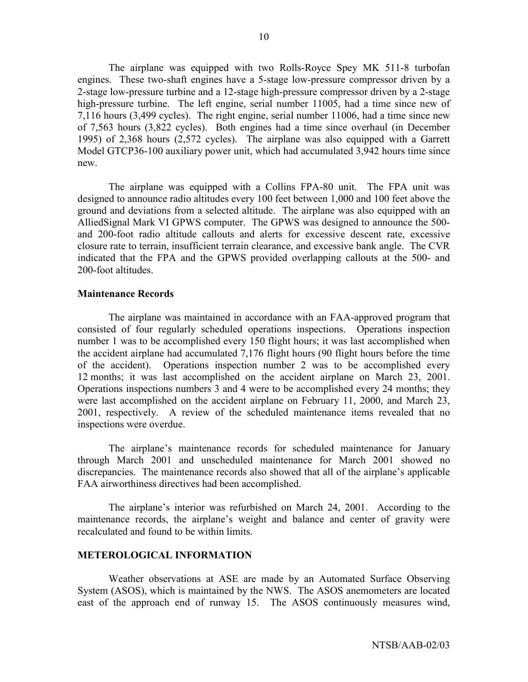The airplane was equipped with two Rolls-Royce Spey MK 511-8 turbofan engines. These two-shaft engines have a 5-stage low-pressure compressor driven by a 2-stage low-pressure turbine and a 12-stage high-pressure compressor driven by a 2-stage high-pressure turbine. The left engine, serial number 11005, had a time since new of 7,116 hours (3,499 cycles). The right engine, serial number 11006, had a time since new of 7,563 hours (3,822 cycles). Both engines had a time since overhaul (in December 1995) of 2,368 hours (2,572 cycles). The airplane was also equipped with a Garrett Model GTCP36-100 auxiliary power unit, which had accumulated 3,942 hours time since new.

The airplane was equipped with a Collins FPA-80 unit. The FPA unit was designed to announce radio altitudes every 100 feet between 1,000 and 100 feet above the ground and deviations from a selected altitude. The airplane was also equipped with an AlliedSignal Mark VI GPWS computer. The GPWS was designed to announce the 500 and 200-foot radio altitude callouts and alerts for excessive descent rate, excessive closure rate to terrain, insufficient terrain clearance, and excessive bank angle. The CVR indicated that the FPA and the GPWS provided overlapping callouts at the 500- and 200-foot altitudes.

### **Maintenance Records**

The airplane was maintained in accordance with an FAA-approved program that consisted of four regularly scheduled operations inspections. Operations inspection number 1 was to be accomplished every 150 flight hours; it was last accomplished when the accident airplane had accumulated 7,176 flight hours (90 flight hours before the time of the accident). Operations inspection number 2 was to be accomplished every 12 months; it was last accomplished on the accident airplane on March 23, 2001. Operations inspections numbers 3 and 4 were to be accomplished every 24 months; they were last accomplished on the accident airplane on February 11, 2000, and March 23, 2001, respectively. A review of the scheduled maintenance items revealed that no inspections were overdue.

The airplane's maintenance records for scheduled maintenance for January through March 2001 and unscheduled maintenance for March 2001 showed no discrepancies. The maintenance records also showed that all of the airplane's applicable FAA airworthiness directives had been accomplished.

The airplane's interior was refurbished on March 24, 2001. According to the maintenance records, the airplane's weight and balance and center of gravity were recalculated and found to be within limits.

### **METEROLOGICAL INFORMATION**

 Weather observations at ASE are made by an Automated Surface Observing System (ASOS), which is maintained by the NWS. The ASOS anemometers are located east of the approach end of runway 15. The ASOS continuously measures wind,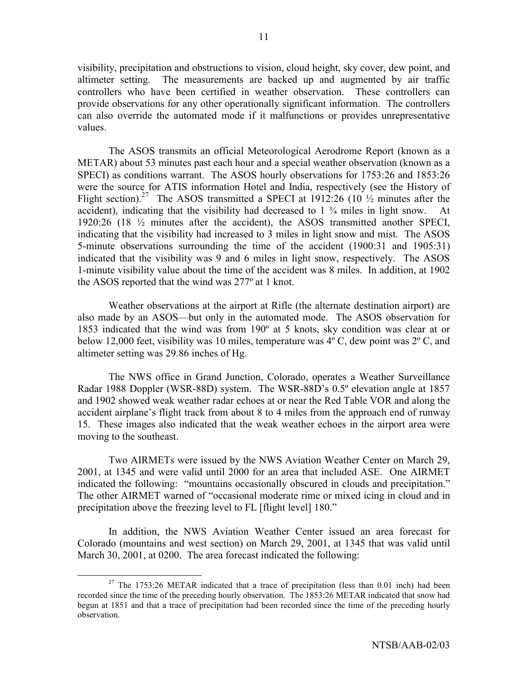visibility, precipitation and obstructions to vision, cloud height, sky cover, dew point, and altimeter setting. The measurements are backed up and augmented by air traffic controllers who have been certified in weather observation. These controllers can provide observations for any other operationally significant information. The controllers can also override the automated mode if it malfunctions or provides unrepresentative values.

 The ASOS transmits an official Meteorological Aerodrome Report (known as a METAR) about 53 minutes past each hour and a special weather observation (known as a SPECI) as conditions warrant. The ASOS hourly observations for 1753:26 and 1853:26 were the source for ATIS information Hotel and India, respectively (see the History of Flight section).<sup>27</sup> The ASOS transmitted a SPECI at 1912:26 (10  $\frac{1}{2}$  minutes after the accident), indicating that the visibility had decreased to  $1\frac{3}{4}$  miles in light snow. At 1920:26 (18 ½ minutes after the accident), the ASOS transmitted another SPECI, indicating that the visibility had increased to 3 miles in light snow and mist. The ASOS 5-minute observations surrounding the time of the accident (1900:31 and 1905:31) indicated that the visibility was 9 and 6 miles in light snow, respectively. The ASOS 1-minute visibility value about the time of the accident was 8 miles. In addition, at 1902 the ASOS reported that the wind was 277º at 1 knot.

 Weather observations at the airport at Rifle (the alternate destination airport) are also made by an ASOS—but only in the automated mode. The ASOS observation for 1853 indicated that the wind was from 190º at 5 knots, sky condition was clear at or below 12,000 feet, visibility was 10 miles, temperature was 4º C, dew point was 2º C, and altimeter setting was 29.86 inches of Hg.

The NWS office in Grand Junction, Colorado, operates a Weather Surveillance Radar 1988 Doppler (WSR-88D) system. The WSR-88D's 0.5° elevation angle at 1857 and 1902 showed weak weather radar echoes at or near the Red Table VOR and along the accident airplane's flight track from about 8 to 4 miles from the approach end of runway 15. These images also indicated that the weak weather echoes in the airport area were moving to the southeast.

Two AIRMETs were issued by the NWS Aviation Weather Center on March 29, 2001, at 1345 and were valid until 2000 for an area that included ASE. One AIRMET indicated the following: "mountains occasionally obscured in clouds and precipitation." The other AIRMET warned of "occasional moderate rime or mixed icing in cloud and in precipitation above the freezing level to FL [flight level] 180.<sup>7</sup>

In addition, the NWS Aviation Weather Center issued an area forecast for Colorado (mountains and west section) on March 29, 2001, at 1345 that was valid until March 30, 2001, at 0200. The area forecast indicated the following:

<sup>&</sup>lt;sup>27</sup> The 1753:26 METAR indicated that a trace of precipitation (less than 0.01 inch) had been recorded since the time of the preceding hourly observation. The 1853:26 METAR indicated that snow had begun at 1851 and that a trace of precipitation had been recorded since the time of the preceding hourly observation.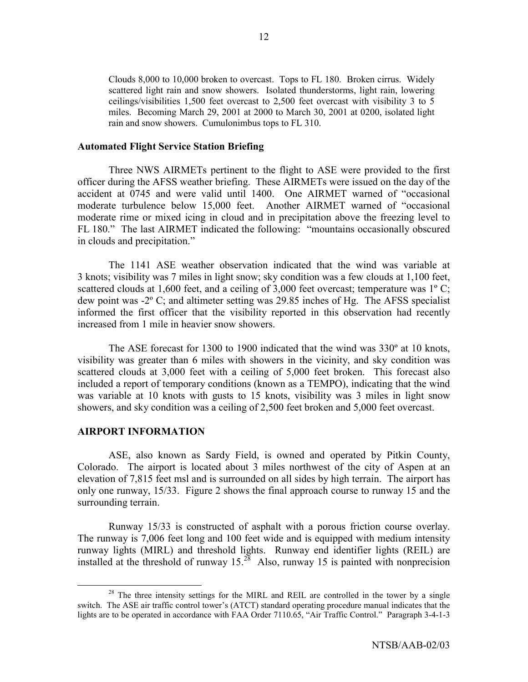Clouds 8,000 to 10,000 broken to overcast. Tops to FL 180. Broken cirrus. Widely scattered light rain and snow showers. Isolated thunderstorms, light rain, lowering ceilings/visibilities 1,500 feet overcast to 2,500 feet overcast with visibility 3 to 5 miles. Becoming March 29, 2001 at 2000 to March 30, 2001 at 0200, isolated light rain and snow showers. Cumulonimbus tops to FL 310.

### **Automated Flight Service Station Briefing**

 Three NWS AIRMETs pertinent to the flight to ASE were provided to the first officer during the AFSS weather briefing. These AIRMETs were issued on the day of the accident at 0745 and were valid until 1400. One AIRMET warned of "occasional moderate turbulence below 15,000 feet. Another AIRMET warned of "occasional moderate rime or mixed icing in cloud and in precipitation above the freezing level to FL 180." The last AIRMET indicated the following: "mountains occasionally obscured in clouds and precipitation."

The 1141 ASE weather observation indicated that the wind was variable at 3 knots; visibility was 7 miles in light snow; sky condition was a few clouds at 1,100 feet, scattered clouds at 1,600 feet, and a ceiling of 3,000 feet overcast; temperature was  $1^{\circ}$  C; dew point was -2º C; and altimeter setting was 29.85 inches of Hg. The AFSS specialist informed the first officer that the visibility reported in this observation had recently increased from 1 mile in heavier snow showers.

The ASE forecast for 1300 to 1900 indicated that the wind was  $330^{\circ}$  at 10 knots, visibility was greater than 6 miles with showers in the vicinity, and sky condition was scattered clouds at 3,000 feet with a ceiling of 5,000 feet broken. This forecast also included a report of temporary conditions (known as a TEMPO), indicating that the wind was variable at 10 knots with gusts to 15 knots, visibility was 3 miles in light snow showers, and sky condition was a ceiling of 2,500 feet broken and 5,000 feet overcast.

### **AIRPORT INFORMATION**

 ASE, also known as Sardy Field, is owned and operated by Pitkin County, Colorado. The airport is located about 3 miles northwest of the city of Aspen at an elevation of 7,815 feet msl and is surrounded on all sides by high terrain. The airport has only one runway, 15/33. Figure 2 shows the final approach course to runway 15 and the surrounding terrain.

 Runway 15/33 is constructed of asphalt with a porous friction course overlay. The runway is 7,006 feet long and 100 feet wide and is equipped with medium intensity runway lights (MIRL) and threshold lights. Runway end identifier lights (REIL) are installed at the threshold of runway  $15^{28}$  Also, runway 15 is painted with nonprecision

 $2<sup>8</sup>$  The three intensity settings for the MIRL and REIL are controlled in the tower by a single switch. The ASE air traffic control tower's (ATCT) standard operating procedure manual indicates that the lights are to be operated in accordance with FAA Order 7110.65, "Air Traffic Control." Paragraph 3-4-1-3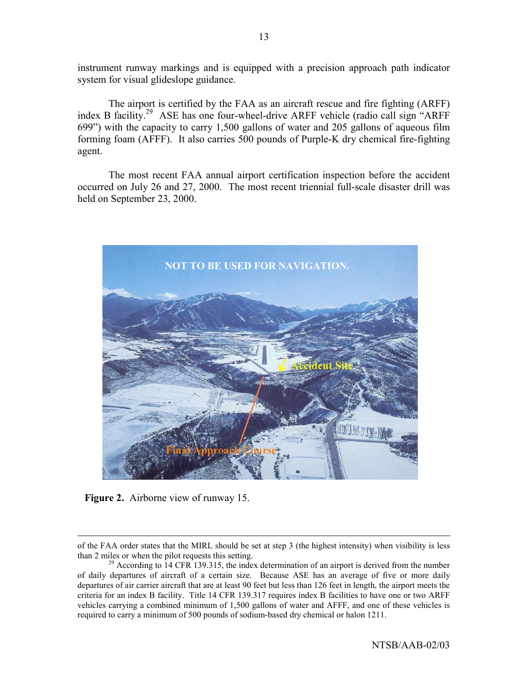instrument runway markings and is equipped with a precision approach path indicator system for visual glideslope guidance.

The airport is certified by the FAA as an aircraft rescue and fire fighting (ARFF) index B facility.<sup>29</sup> ASE has one four-wheel-drive ARFF vehicle (radio call sign "ARFF 699") with the capacity to carry 1,500 gallons of water and 205 gallons of aqueous film forming foam (AFFF). It also carries 500 pounds of Purple-K dry chemical fire-fighting agent.

The most recent FAA annual airport certification inspection before the accident occurred on July 26 and 27, 2000. The most recent triennial full-scale disaster drill was held on September 23, 2000.



**Figure 2.** Airborne view of runway 15.

 $\overline{a}$ 

of the FAA order states that the MIRL should be set at step 3 (the highest intensity) when visibility is less than 2 miles or when the pilot requests this setting.<br><sup>29</sup> According to 14 CFR 139.315, the index determination of an airport is derived from the number

of daily departures of aircraft of a certain size. Because ASE has an average of five or more daily departures of air carrier aircraft that are at least 90 feet but less than 126 feet in length, the airport meets the criteria for an index B facility. Title 14 CFR 139.317 requires index B facilities to have one or two ARFF vehicles carrying a combined minimum of 1,500 gallons of water and AFFF, and one of these vehicles is required to carry a minimum of 500 pounds of sodium-based dry chemical or halon 1211.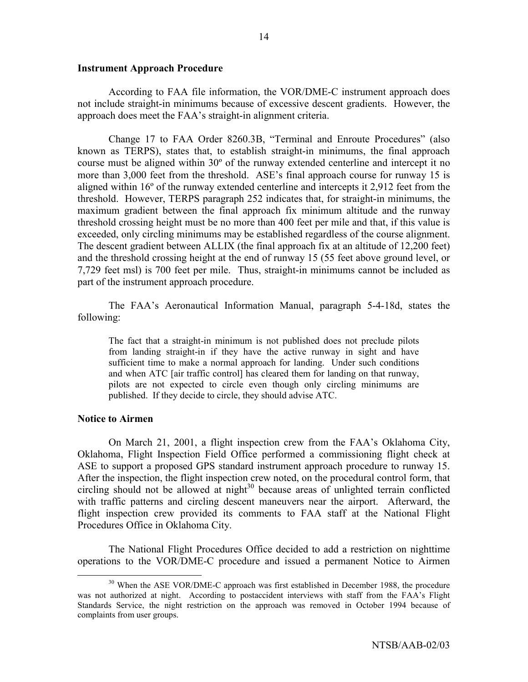#### **Instrument Approach Procedure**

According to FAA file information, the VOR/DME-C instrument approach does not include straight-in minimums because of excessive descent gradients. However, the approach does meet the FAA's straight-in alignment criteria.

Change 17 to FAA Order 8260.3B, "Terminal and Enroute Procedures" (also known as TERPS), states that, to establish straight-in minimums, the final approach course must be aligned within 30º of the runway extended centerline and intercept it no more than 3,000 feet from the threshold. ASE's final approach course for runway 15 is aligned within 16º of the runway extended centerline and intercepts it 2,912 feet from the threshold. However, TERPS paragraph 252 indicates that, for straight-in minimums, the maximum gradient between the final approach fix minimum altitude and the runway threshold crossing height must be no more than 400 feet per mile and that, if this value is exceeded, only circling minimums may be established regardless of the course alignment. The descent gradient between ALLIX (the final approach fix at an altitude of 12,200 feet) and the threshold crossing height at the end of runway 15 (55 feet above ground level, or 7,729 feet msl) is 700 feet per mile. Thus, straight-in minimums cannot be included as part of the instrument approach procedure.

The FAAís Aeronautical Information Manual, paragraph 5-4-18d, states the following:

The fact that a straight-in minimum is not published does not preclude pilots from landing straight-in if they have the active runway in sight and have sufficient time to make a normal approach for landing. Under such conditions and when ATC [air traffic control] has cleared them for landing on that runway, pilots are not expected to circle even though only circling minimums are published. If they decide to circle, they should advise ATC.

### **Notice to Airmen**

On March 21, 2001, a flight inspection crew from the FAAís Oklahoma City, Oklahoma, Flight Inspection Field Office performed a commissioning flight check at ASE to support a proposed GPS standard instrument approach procedure to runway 15. After the inspection, the flight inspection crew noted, on the procedural control form, that circling should not be allowed at night $30$  because areas of unlighted terrain conflicted with traffic patterns and circling descent maneuvers near the airport. Afterward, the flight inspection crew provided its comments to FAA staff at the National Flight Procedures Office in Oklahoma City.

The National Flight Procedures Office decided to add a restriction on nighttime operations to the VOR/DME-C procedure and issued a permanent Notice to Airmen

<sup>&</sup>lt;sup>30</sup> When the ASE VOR/DME-C approach was first established in December 1988, the procedure was not authorized at night. According to postaccident interviews with staff from the FAA's Flight Standards Service, the night restriction on the approach was removed in October 1994 because of complaints from user groups.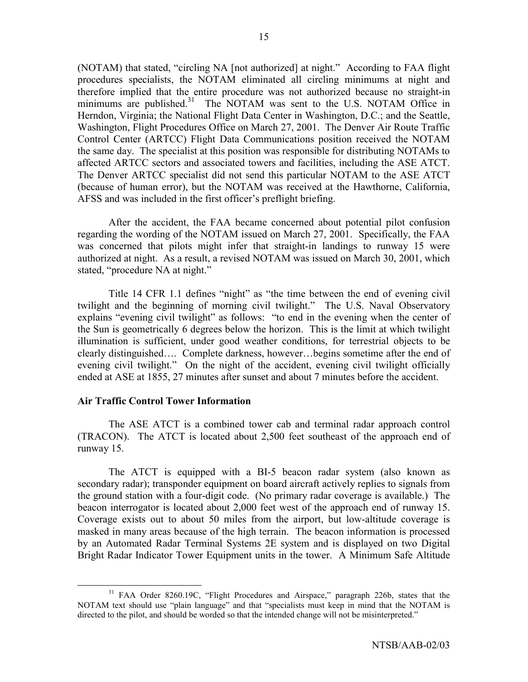(NOTAM) that stated, "circling NA [not authorized] at night." According to FAA flight procedures specialists, the NOTAM eliminated all circling minimums at night and therefore implied that the entire procedure was not authorized because no straight-in minimums are published.<sup>31</sup> The NOTAM was sent to the U.S. NOTAM Office in Herndon, Virginia; the National Flight Data Center in Washington, D.C.; and the Seattle, Washington, Flight Procedures Office on March 27, 2001. The Denver Air Route Traffic Control Center (ARTCC) Flight Data Communications position received the NOTAM the same day. The specialist at this position was responsible for distributing NOTAMs to affected ARTCC sectors and associated towers and facilities, including the ASE ATCT. The Denver ARTCC specialist did not send this particular NOTAM to the ASE ATCT (because of human error), but the NOTAM was received at the Hawthorne, California, AFSS and was included in the first officer's preflight briefing.

After the accident, the FAA became concerned about potential pilot confusion regarding the wording of the NOTAM issued on March 27, 2001. Specifically, the FAA was concerned that pilots might infer that straight-in landings to runway 15 were authorized at night. As a result, a revised NOTAM was issued on March 30, 2001, which stated, "procedure NA at night."

Title 14 CFR 1.1 defines "night" as "the time between the end of evening civil twilight and the beginning of morning civil twilight." The U.S. Naval Observatory explains "evening civil twilight" as follows: "to end in the evening when the center of the Sun is geometrically 6 degrees below the horizon. This is the limit at which twilight illumination is sufficient, under good weather conditions, for terrestrial objects to be clearly distinguished.... Complete darkness, however... begins sometime after the end of evening civil twilight." On the night of the accident, evening civil twilight officially ended at ASE at 1855, 27 minutes after sunset and about 7 minutes before the accident.

## **Air Traffic Control Tower Information**

The ASE ATCT is a combined tower cab and terminal radar approach control (TRACON). The ATCT is located about 2,500 feet southeast of the approach end of runway 15.

The ATCT is equipped with a BI-5 beacon radar system (also known as secondary radar); transponder equipment on board aircraft actively replies to signals from the ground station with a four-digit code. (No primary radar coverage is available.) The beacon interrogator is located about 2,000 feet west of the approach end of runway 15. Coverage exists out to about 50 miles from the airport, but low-altitude coverage is masked in many areas because of the high terrain. The beacon information is processed by an Automated Radar Terminal Systems 2E system and is displayed on two Digital Bright Radar Indicator Tower Equipment units in the tower. A Minimum Safe Altitude

<sup>&</sup>lt;sup>31</sup> FAA Order 8260.19C, "Flight Procedures and Airspace," paragraph 226b, states that the NOTAM text should use "plain language" and that "specialists must keep in mind that the NOTAM is directed to the pilot, and should be worded so that the intended change will not be misinterpreted."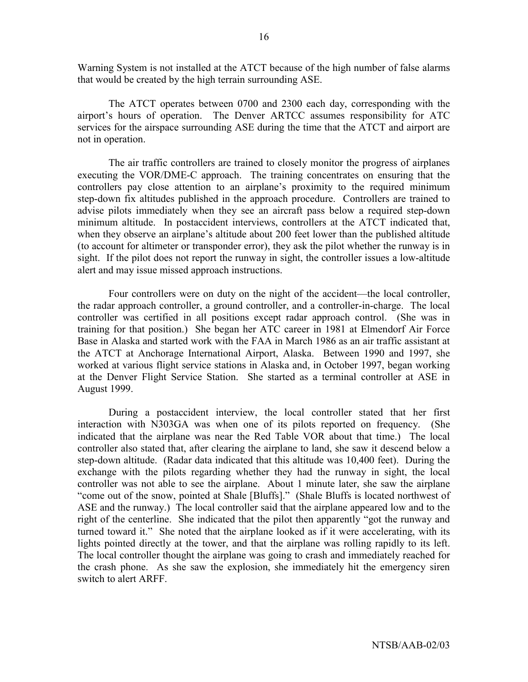Warning System is not installed at the ATCT because of the high number of false alarms that would be created by the high terrain surrounding ASE.

The ATCT operates between 0700 and 2300 each day, corresponding with the airport's hours of operation. The Denver ARTCC assumes responsibility for ATC services for the airspace surrounding ASE during the time that the ATCT and airport are not in operation.

The air traffic controllers are trained to closely monitor the progress of airplanes executing the VOR/DME-C approach. The training concentrates on ensuring that the controllers pay close attention to an airplane's proximity to the required minimum step-down fix altitudes published in the approach procedure. Controllers are trained to advise pilots immediately when they see an aircraft pass below a required step-down minimum altitude. In postaccident interviews, controllers at the ATCT indicated that, when they observe an airplane's altitude about 200 feet lower than the published altitude (to account for altimeter or transponder error), they ask the pilot whether the runway is in sight. If the pilot does not report the runway in sight, the controller issues a low-altitude alert and may issue missed approach instructions.

Four controllers were on duty on the night of the accident—the local controller, the radar approach controller, a ground controller, and a controller-in-charge. The local controller was certified in all positions except radar approach control. (She was in training for that position.) She began her ATC career in 1981 at Elmendorf Air Force Base in Alaska and started work with the FAA in March 1986 as an air traffic assistant at the ATCT at Anchorage International Airport, Alaska. Between 1990 and 1997, she worked at various flight service stations in Alaska and, in October 1997, began working at the Denver Flight Service Station. She started as a terminal controller at ASE in August 1999.

During a postaccident interview, the local controller stated that her first interaction with N303GA was when one of its pilots reported on frequency. (She indicated that the airplane was near the Red Table VOR about that time.) The local controller also stated that, after clearing the airplane to land, she saw it descend below a step-down altitude. (Radar data indicated that this altitude was 10,400 feet). During the exchange with the pilots regarding whether they had the runway in sight, the local controller was not able to see the airplane. About 1 minute later, she saw the airplane "come out of the snow, pointed at Shale [Bluffs]." (Shale Bluffs is located northwest of ASE and the runway.) The local controller said that the airplane appeared low and to the right of the centerline. She indicated that the pilot then apparently "got the runway and turned toward it." She noted that the airplane looked as if it were accelerating, with its lights pointed directly at the tower, and that the airplane was rolling rapidly to its left. The local controller thought the airplane was going to crash and immediately reached for the crash phone. As she saw the explosion, she immediately hit the emergency siren switch to alert ARFF.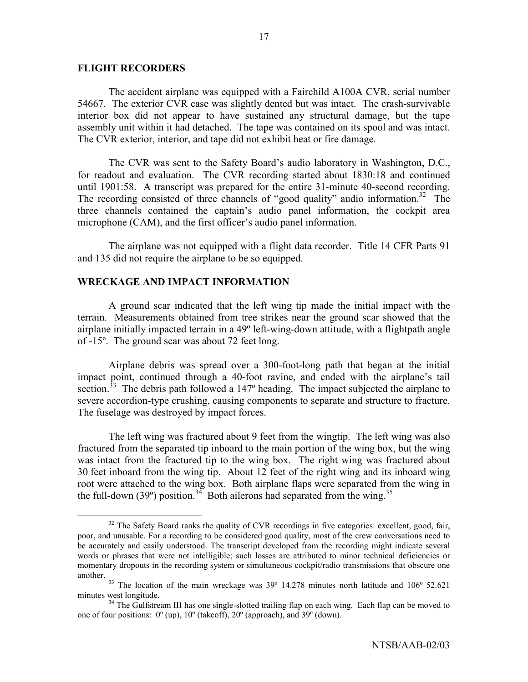### **FLIGHT RECORDERS**

 The accident airplane was equipped with a Fairchild A100A CVR, serial number 54667. The exterior CVR case was slightly dented but was intact. The crash-survivable interior box did not appear to have sustained any structural damage, but the tape assembly unit within it had detached. The tape was contained on its spool and was intact. The CVR exterior, interior, and tape did not exhibit heat or fire damage.

The CVR was sent to the Safety Board's audio laboratory in Washington, D.C., for readout and evaluation. The CVR recording started about 1830:18 and continued until 1901:58. A transcript was prepared for the entire 31-minute 40-second recording. The recording consisted of three channels of "good quality" audio information.<sup>32</sup> The three channels contained the captain's audio panel information, the cockpit area microphone (CAM), and the first officer's audio panel information.

The airplane was not equipped with a flight data recorder. Title 14 CFR Parts 91 and 135 did not require the airplane to be so equipped.

### **WRECKAGE AND IMPACT INFORMATION**

A ground scar indicated that the left wing tip made the initial impact with the terrain. Measurements obtained from tree strikes near the ground scar showed that the airplane initially impacted terrain in a 49º left-wing-down attitude, with a flightpath angle of -15º. The ground scar was about 72 feet long.

Airplane debris was spread over a 300-foot-long path that began at the initial impact point, continued through a 40-foot ravine, and ended with the airplane's tail section.<sup>33</sup> The debris path followed a 147<sup>°</sup> heading. The impact subjected the airplane to severe accordion-type crushing, causing components to separate and structure to fracture. The fuselage was destroyed by impact forces.

The left wing was fractured about 9 feet from the wingtip. The left wing was also fractured from the separated tip inboard to the main portion of the wing box, but the wing was intact from the fractured tip to the wing box. The right wing was fractured about 30 feet inboard from the wing tip. About 12 feet of the right wing and its inboard wing root were attached to the wing box. Both airplane flaps were separated from the wing in the full-down (39°) position.<sup>34</sup> Both ailerons had separated from the wing.<sup>35</sup>

<sup>&</sup>lt;sup>32</sup> The Safety Board ranks the quality of CVR recordings in five categories: excellent, good, fair, poor, and unusable. For a recording to be considered good quality, most of the crew conversations need to be accurately and easily understood. The transcript developed from the recording might indicate several words or phrases that were not intelligible; such losses are attributed to minor technical deficiencies or momentary dropouts in the recording system or simultaneous cockpit/radio transmissions that obscure one

another.<br><sup>33</sup> The location of the main wreckage was 39° 14.278 minutes north latitude and 106° 52.621

minutes west longitude.<br><sup>34</sup> The Gulfstream III has one single-slotted trailing flap on each wing. Each flap can be moved to one of four positions: 0º (up), 10º (takeoff), 20º (approach), and 39º (down).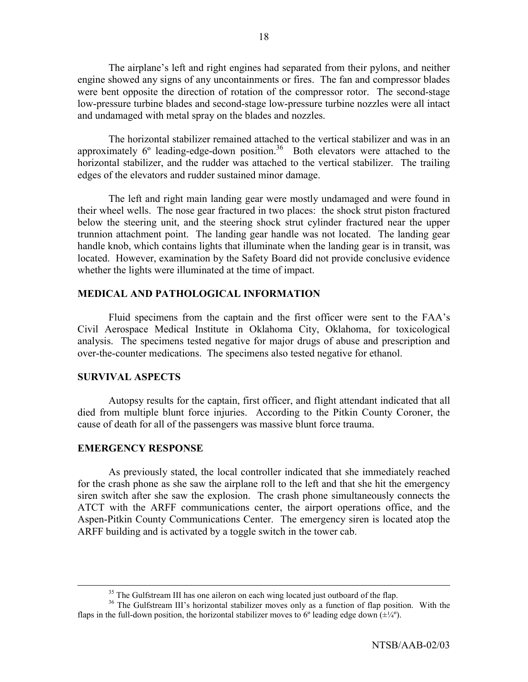The airplane's left and right engines had separated from their pylons, and neither engine showed any signs of any uncontainments or fires. The fan and compressor blades were bent opposite the direction of rotation of the compressor rotor. The second-stage low-pressure turbine blades and second-stage low-pressure turbine nozzles were all intact and undamaged with metal spray on the blades and nozzles.

The horizontal stabilizer remained attached to the vertical stabilizer and was in an approximately  $6^\circ$  leading-edge-down position.<sup>36</sup> Both elevators were attached to the horizontal stabilizer, and the rudder was attached to the vertical stabilizer. The trailing edges of the elevators and rudder sustained minor damage.

The left and right main landing gear were mostly undamaged and were found in their wheel wells. The nose gear fractured in two places: the shock strut piston fractured below the steering unit, and the steering shock strut cylinder fractured near the upper trunnion attachment point. The landing gear handle was not located. The landing gear handle knob, which contains lights that illuminate when the landing gear is in transit, was located. However, examination by the Safety Board did not provide conclusive evidence whether the lights were illuminated at the time of impact.

## **MEDICAL AND PATHOLOGICAL INFORMATION**

Fluid specimens from the captain and the first officer were sent to the FAA's Civil Aerospace Medical Institute in Oklahoma City, Oklahoma, for toxicological analysis. The specimens tested negative for major drugs of abuse and prescription and over-the-counter medications. The specimens also tested negative for ethanol.

## **SURVIVAL ASPECTS**

 Autopsy results for the captain, first officer, and flight attendant indicated that all died from multiple blunt force injuries. According to the Pitkin County Coroner, the cause of death for all of the passengers was massive blunt force trauma.

## **EMERGENCY RESPONSE**

As previously stated, the local controller indicated that she immediately reached for the crash phone as she saw the airplane roll to the left and that she hit the emergency siren switch after she saw the explosion. The crash phone simultaneously connects the ATCT with the ARFF communications center, the airport operations office, and the Aspen-Pitkin County Communications Center. The emergency siren is located atop the ARFF building and is activated by a toggle switch in the tower cab.

<sup>&</sup>lt;sup>35</sup> The Gulfstream III has one aileron on each wing located just outboard of the flap.

<sup>&</sup>lt;sup>36</sup> The Gulfstream III's horizontal stabilizer moves only as a function of flap position. With the flaps in the full-down position, the horizontal stabilizer moves to 6<sup>o</sup> leading edge down  $(\pm\frac{1}{4})$ .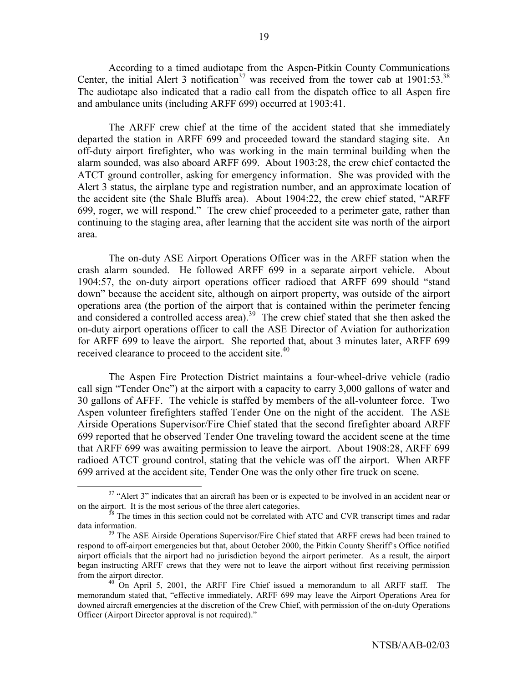According to a timed audiotape from the Aspen-Pitkin County Communications Center, the initial Alert 3 notification<sup>37</sup> was received from the tower cab at  $1901:53^{38}$ The audiotape also indicated that a radio call from the dispatch office to all Aspen fire and ambulance units (including ARFF 699) occurred at 1903:41.

 The ARFF crew chief at the time of the accident stated that she immediately departed the station in ARFF 699 and proceeded toward the standard staging site. An off-duty airport firefighter, who was working in the main terminal building when the alarm sounded, was also aboard ARFF 699. About 1903:28, the crew chief contacted the ATCT ground controller, asking for emergency information. She was provided with the Alert 3 status, the airplane type and registration number, and an approximate location of the accident site (the Shale Bluffs area). About 1904:22, the crew chief stated, "ARFF 699, roger, we will respond." The crew chief proceeded to a perimeter gate, rather than continuing to the staging area, after learning that the accident site was north of the airport area.

The on-duty ASE Airport Operations Officer was in the ARFF station when the crash alarm sounded. He followed ARFF 699 in a separate airport vehicle. About 1904:57, the on-duty airport operations officer radioed that ARFF 699 should "stand down" because the accident site, although on airport property, was outside of the airport operations area (the portion of the airport that is contained within the perimeter fencing and considered a controlled access area).<sup>39</sup> The crew chief stated that she then asked the on-duty airport operations officer to call the ASE Director of Aviation for authorization for ARFF 699 to leave the airport. She reported that, about 3 minutes later, ARFF 699 received clearance to proceed to the accident site.<sup>40</sup>

The Aspen Fire Protection District maintains a four-wheel-drive vehicle (radio call sign "Tender One") at the airport with a capacity to carry 3,000 gallons of water and 30 gallons of AFFF. The vehicle is staffed by members of the all-volunteer force. Two Aspen volunteer firefighters staffed Tender One on the night of the accident. The ASE Airside Operations Supervisor/Fire Chief stated that the second firefighter aboard ARFF 699 reported that he observed Tender One traveling toward the accident scene at the time that ARFF 699 was awaiting permission to leave the airport. About 1908:28, ARFF 699 radioed ATCT ground control, stating that the vehicle was off the airport. When ARFF 699 arrived at the accident site, Tender One was the only other fire truck on scene.

<sup>&</sup>lt;sup>37</sup> "Alert 3" indicates that an aircraft has been or is expected to be involved in an accident near or on the airport. It is the most serious of the three alert categories.<br><sup>38</sup> The times in this section could not be correlated with ATC and CVR transcript times and radar

data information.<br><sup>39</sup> The ASE Airside Operations Supervisor/Fire Chief stated that ARFF crews had been trained to

respond to off-airport emergencies but that, about October 2000, the Pitkin County Sheriffís Office notified airport officials that the airport had no jurisdiction beyond the airport perimeter. As a result, the airport began instructing ARFF crews that they were not to leave the airport without first receiving permission from the airport director.<br><sup>40</sup> On April 5, 2001, the ARFF Fire Chief issued a memorandum to all ARFF staff. The

memorandum stated that, "effective immediately, ARFF 699 may leave the Airport Operations Area for downed aircraft emergencies at the discretion of the Crew Chief, with permission of the on-duty Operations Officer (Airport Director approval is not required)."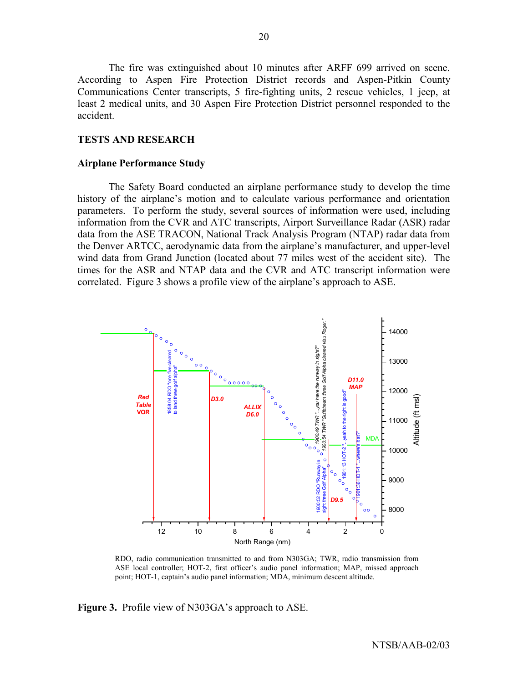The fire was extinguished about 10 minutes after ARFF 699 arrived on scene. According to Aspen Fire Protection District records and Aspen-Pitkin County Communications Center transcripts, 5 fire-fighting units, 2 rescue vehicles, 1 jeep, at least 2 medical units, and 30 Aspen Fire Protection District personnel responded to the accident.

### **TESTS AND RESEARCH**

#### **Airplane Performance Study**

 The Safety Board conducted an airplane performance study to develop the time history of the airplane's motion and to calculate various performance and orientation parameters. To perform the study, several sources of information were used, including information from the CVR and ATC transcripts, Airport Surveillance Radar (ASR) radar data from the ASE TRACON, National Track Analysis Program (NTAP) radar data from the Denver ARTCC, aerodynamic data from the airplane's manufacturer, and upper-level wind data from Grand Junction (located about 77 miles west of the accident site). The times for the ASR and NTAP data and the CVR and ATC transcript information were correlated. Figure 3 shows a profile view of the airplane's approach to ASE.



RDO, radio communication transmitted to and from N303GA; TWR, radio transmission from ASE local controller; HOT-2, first officer's audio panel information; MAP, missed approach point; HOT-1, captain's audio panel information; MDA, minimum descent altitude.

**Figure 3.** Profile view of N303GA's approach to ASE.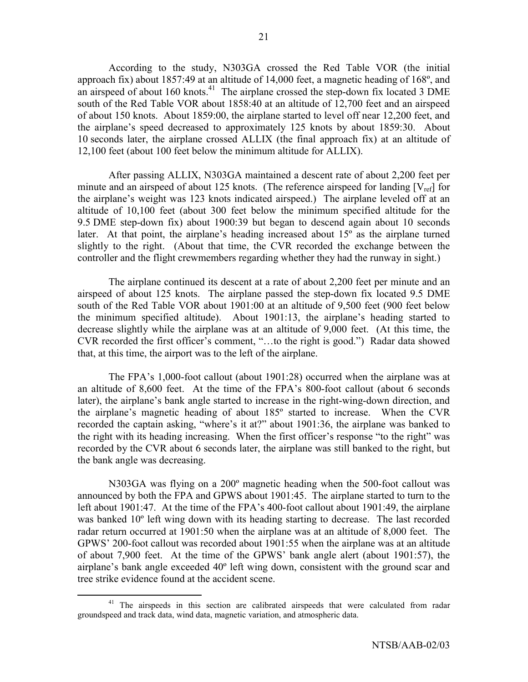According to the study, N303GA crossed the Red Table VOR (the initial approach fix) about 1857:49 at an altitude of 14,000 feet, a magnetic heading of 168º, and an airspeed of about 160 knots.<sup>41</sup> The airplane crossed the step-down fix located 3 DME south of the Red Table VOR about 1858:40 at an altitude of 12,700 feet and an airspeed of about 150 knots. About 1859:00, the airplane started to level off near 12,200 feet, and the airplane's speed decreased to approximately 125 knots by about 1859:30. About 10 seconds later, the airplane crossed ALLIX (the final approach fix) at an altitude of 12,100 feet (about 100 feet below the minimum altitude for ALLIX).

 After passing ALLIX, N303GA maintained a descent rate of about 2,200 feet per minute and an airspeed of about 125 knots. (The reference airspeed for landing  $[V_{ref}]$  for the airplane's weight was 123 knots indicated airspeed.) The airplane leveled off at an altitude of 10,100 feet (about 300 feet below the minimum specified altitude for the 9.5 DME step-down fix) about 1900:39 but began to descend again about 10 seconds later. At that point, the airplane's heading increased about  $15^{\circ}$  as the airplane turned slightly to the right. (About that time, the CVR recorded the exchange between the controller and the flight crewmembers regarding whether they had the runway in sight.)

The airplane continued its descent at a rate of about 2,200 feet per minute and an airspeed of about 125 knots. The airplane passed the step-down fix located 9.5 DME south of the Red Table VOR about 1901:00 at an altitude of 9,500 feet (900 feet below the minimum specified altitude). About  $1901:13$ , the airplane's heading started to decrease slightly while the airplane was at an altitude of 9,000 feet. (At this time, the CVR recorded the first officer's comment, "...to the right is good.") Radar data showed that, at this time, the airport was to the left of the airplane.

The FPA's 1,000-foot callout (about 1901:28) occurred when the airplane was at an altitude of 8,600 feet. At the time of the FPA's 800-foot callout (about 6 seconds later), the airplane's bank angle started to increase in the right-wing-down direction, and the airplane's magnetic heading of about  $185^\circ$  started to increase. When the CVR recorded the captain asking, "where's it at?" about  $1901:36$ , the airplane was banked to the right with its heading increasing. When the first officer's response "to the right" was recorded by the CVR about 6 seconds later, the airplane was still banked to the right, but the bank angle was decreasing.

N303GA was flying on a 200º magnetic heading when the 500-foot callout was announced by both the FPA and GPWS about 1901:45. The airplane started to turn to the left about 1901:47. At the time of the FPA's 400-foot callout about 1901:49, the airplane was banked 10º left wing down with its heading starting to decrease. The last recorded radar return occurred at 1901:50 when the airplane was at an altitude of 8,000 feet. The GPWS<sup> $\degree$ </sup> 200-foot callout was recorded about 1901:55 when the airplane was at an altitude of about 7,900 feet. At the time of the GPWS' bank angle alert (about 1901:57), the airplane's bank angle exceeded 40° left wing down, consistent with the ground scar and tree strike evidence found at the accident scene.

<sup>&</sup>lt;sup>41</sup> The airspeeds in this section are calibrated airspeeds that were calculated from radar groundspeed and track data, wind data, magnetic variation, and atmospheric data.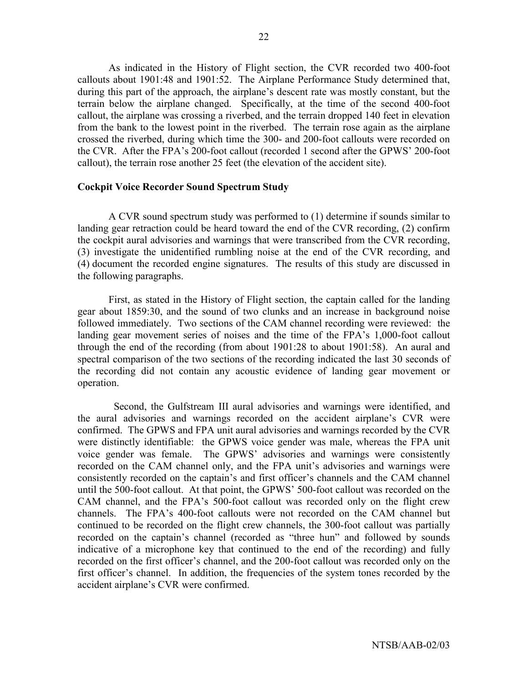As indicated in the History of Flight section, the CVR recorded two 400-foot callouts about 1901:48 and 1901:52. The Airplane Performance Study determined that, during this part of the approach, the airplane's descent rate was mostly constant, but the terrain below the airplane changed. Specifically, at the time of the second 400-foot callout, the airplane was crossing a riverbed, and the terrain dropped 140 feet in elevation from the bank to the lowest point in the riverbed. The terrain rose again as the airplane crossed the riverbed, during which time the 300- and 200-foot callouts were recorded on the CVR. After the FPA's 200-foot callout (recorded 1 second after the GPWS' 200-foot callout), the terrain rose another 25 feet (the elevation of the accident site).

### **Cockpit Voice Recorder Sound Spectrum Study**

 A CVR sound spectrum study was performed to (1) determine if sounds similar to landing gear retraction could be heard toward the end of the CVR recording, (2) confirm the cockpit aural advisories and warnings that were transcribed from the CVR recording, (3) investigate the unidentified rumbling noise at the end of the CVR recording, and (4) document the recorded engine signatures. The results of this study are discussed in the following paragraphs.

 First, as stated in the History of Flight section, the captain called for the landing gear about 1859:30, and the sound of two clunks and an increase in background noise followed immediately. Two sections of the CAM channel recording were reviewed: the landing gear movement series of noises and the time of the FPA's 1,000-foot callout through the end of the recording (from about 1901:28 to about 1901:58). An aural and spectral comparison of the two sections of the recording indicated the last 30 seconds of the recording did not contain any acoustic evidence of landing gear movement or operation.

 Second, the Gulfstream III aural advisories and warnings were identified, and the aural advisories and warnings recorded on the accident airplane's CVR were confirmed. The GPWS and FPA unit aural advisories and warnings recorded by the CVR were distinctly identifiable: the GPWS voice gender was male, whereas the FPA unit voice gender was female. The GPWS' advisories and warnings were consistently recorded on the CAM channel only, and the FPA unit's advisories and warnings were consistently recorded on the captain's and first officer's channels and the CAM channel until the 500-foot callout. At that point, the GPWS' 500-foot callout was recorded on the CAM channel, and the FPA's 500-foot callout was recorded only on the flight crew channels. The FPA's 400-foot callouts were not recorded on the CAM channel but continued to be recorded on the flight crew channels, the 300-foot callout was partially recorded on the captain's channel (recorded as "three hun" and followed by sounds indicative of a microphone key that continued to the end of the recording) and fully recorded on the first officer's channel, and the 200-foot callout was recorded only on the first officer's channel. In addition, the frequencies of the system tones recorded by the accident airplane's CVR were confirmed.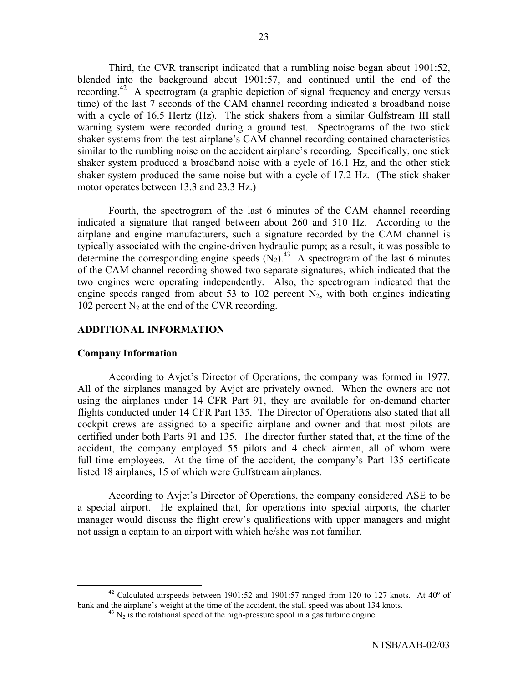Third, the CVR transcript indicated that a rumbling noise began about 1901:52, blended into the background about 1901:57, and continued until the end of the recording.<sup>42</sup> A spectrogram (a graphic depiction of signal frequency and energy versus time) of the last 7 seconds of the CAM channel recording indicated a broadband noise with a cycle of 16.5 Hertz (Hz). The stick shakers from a similar Gulfstream III stall warning system were recorded during a ground test. Spectrograms of the two stick shaker systems from the test airplane's CAM channel recording contained characteristics similar to the rumbling noise on the accident airplane's recording. Specifically, one stick shaker system produced a broadband noise with a cycle of 16.1 Hz, and the other stick shaker system produced the same noise but with a cycle of 17.2 Hz. (The stick shaker motor operates between 13.3 and 23.3 Hz.)

 Fourth, the spectrogram of the last 6 minutes of the CAM channel recording indicated a signature that ranged between about 260 and 510 Hz. According to the airplane and engine manufacturers, such a signature recorded by the CAM channel is typically associated with the engine-driven hydraulic pump; as a result, it was possible to determine the corresponding engine speeds  $(N_2)$ .<sup>43</sup> A spectrogram of the last 6 minutes of the CAM channel recording showed two separate signatures, which indicated that the two engines were operating independently. Also, the spectrogram indicated that the engine speeds ranged from about 53 to 102 percent  $N_2$ , with both engines indicating 102 percent  $N_2$  at the end of the CVR recording.

### **ADDITIONAL INFORMATION**

### **Company Information**

According to Avjet's Director of Operations, the company was formed in 1977. All of the airplanes managed by Avjet are privately owned. When the owners are not using the airplanes under 14 CFR Part 91, they are available for on-demand charter flights conducted under 14 CFR Part 135. The Director of Operations also stated that all cockpit crews are assigned to a specific airplane and owner and that most pilots are certified under both Parts 91 and 135. The director further stated that, at the time of the accident, the company employed 55 pilots and 4 check airmen, all of whom were full-time employees. At the time of the accident, the company's Part 135 certificate listed 18 airplanes, 15 of which were Gulfstream airplanes.

 According to Avjetís Director of Operations, the company considered ASE to be a special airport. He explained that, for operations into special airports, the charter manager would discuss the flight crew's qualifications with upper managers and might not assign a captain to an airport with which he/she was not familiar.

<sup>&</sup>lt;sup>42</sup> Calculated airspeeds between 1901:52 and 1901:57 ranged from 120 to 127 knots. At 40 $^{\circ}$  of bank and the airplane's weight at the time of the accident, the stall speed was about 134 knots.

 $^{43}$  N<sub>2</sub> is the rotational speed of the high-pressure spool in a gas turbine engine.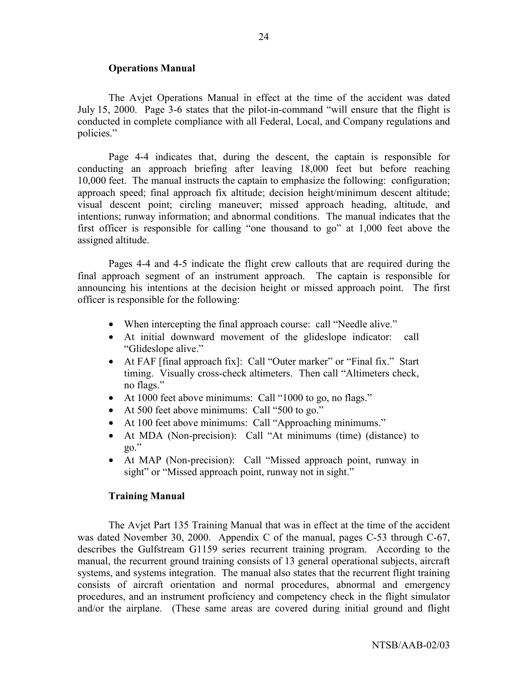### **Operations Manual**

 The Avjet Operations Manual in effect at the time of the accident was dated July 15, 2000. Page 3-6 states that the pilot-in-command "will ensure that the flight is conducted in complete compliance with all Federal, Local, and Company regulations and policies."

Page 4-4 indicates that, during the descent, the captain is responsible for conducting an approach briefing after leaving 18,000 feet but before reaching 10,000 feet. The manual instructs the captain to emphasize the following: configuration; approach speed; final approach fix altitude; decision height/minimum descent altitude; visual descent point; circling maneuver; missed approach heading, altitude, and intentions; runway information; and abnormal conditions. The manual indicates that the first officer is responsible for calling "one thousand to go" at  $1,000$  feet above the assigned altitude.

 Pages 4-4 and 4-5 indicate the flight crew callouts that are required during the final approach segment of an instrument approach. The captain is responsible for announcing his intentions at the decision height or missed approach point. The first officer is responsible for the following:

- When intercepting the final approach course: call "Needle alive."
- At initial downward movement of the glideslope indicator: call "Glideslope alive."
- At FAF [final approach fix]: Call "Outer marker" or "Final fix." Start timing. Visually cross-check altimeters. Then call "Altimeters check, no flags."
- At 1000 feet above minimums: Call  $\degree$ 1000 to go, no flags."
- At 500 feet above minimums: Call "500 to go."
- At 100 feet above minimums: Call "Approaching minimums."
- At MDA (Non-precision): Call "At minimums (time) (distance) to  $\overline{20}$ .
- At MAP (Non-precision): Call "Missed approach point, runway in sight" or "Missed approach point, runway not in sight."

#### **Training Manual**

The Avjet Part 135 Training Manual that was in effect at the time of the accident was dated November 30, 2000. Appendix C of the manual, pages C-53 through C-67, describes the Gulfstream G1159 series recurrent training program. According to the manual, the recurrent ground training consists of 13 general operational subjects, aircraft systems, and systems integration. The manual also states that the recurrent flight training consists of aircraft orientation and normal procedures, abnormal and emergency procedures, and an instrument proficiency and competency check in the flight simulator and/or the airplane. (These same areas are covered during initial ground and flight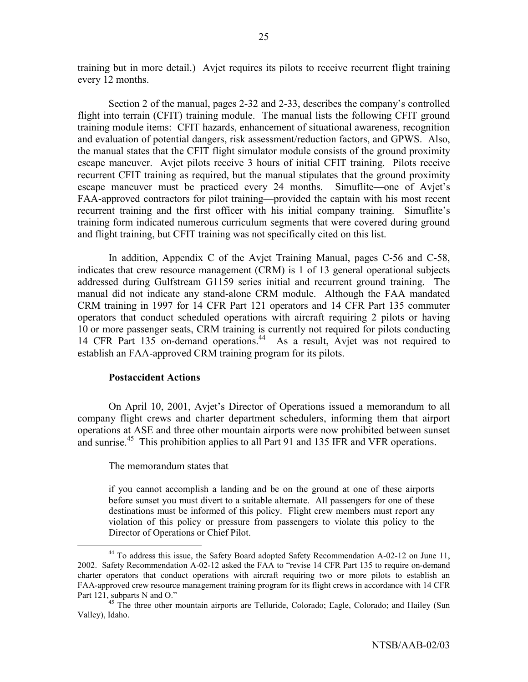training but in more detail.) Avjet requires its pilots to receive recurrent flight training every 12 months.

Section 2 of the manual, pages 2-32 and 2-33, describes the company's controlled flight into terrain (CFIT) training module. The manual lists the following CFIT ground training module items: CFIT hazards, enhancement of situational awareness, recognition and evaluation of potential dangers, risk assessment/reduction factors, and GPWS. Also, the manual states that the CFIT flight simulator module consists of the ground proximity escape maneuver. Avjet pilots receive 3 hours of initial CFIT training. Pilots receive recurrent CFIT training as required, but the manual stipulates that the ground proximity escape maneuver must be practiced every 24 months. Simuflite—one of Avjet's FAA-approved contractors for pilot training—provided the captain with his most recent recurrent training and the first officer with his initial company training. Simuflite's training form indicated numerous curriculum segments that were covered during ground and flight training, but CFIT training was not specifically cited on this list.

In addition, Appendix C of the Avjet Training Manual, pages C-56 and C-58, indicates that crew resource management (CRM) is 1 of 13 general operational subjects addressed during Gulfstream G1159 series initial and recurrent ground training. The manual did not indicate any stand-alone CRM module. Although the FAA mandated CRM training in 1997 for 14 CFR Part 121 operators and 14 CFR Part 135 commuter operators that conduct scheduled operations with aircraft requiring 2 pilots or having 10 or more passenger seats, CRM training is currently not required for pilots conducting 14 CFR Part 135 on-demand operations.<sup>44</sup> As a result, Avjet was not required to establish an FAA-approved CRM training program for its pilots.

### **Postaccident Actions**

 On April 10, 2001, Avjetís Director of Operations issued a memorandum to all company flight crews and charter department schedulers, informing them that airport operations at ASE and three other mountain airports were now prohibited between sunset and sunrise.<sup>45</sup> This prohibition applies to all Part 91 and 135 IFR and VFR operations.

The memorandum states that

if you cannot accomplish a landing and be on the ground at one of these airports before sunset you must divert to a suitable alternate. All passengers for one of these destinations must be informed of this policy. Flight crew members must report any violation of this policy or pressure from passengers to violate this policy to the Director of Operations or Chief Pilot.

<sup>&</sup>lt;sup>44</sup> To address this issue, the Safety Board adopted Safety Recommendation A-02-12 on June 11, 2002. Safety Recommendation A-02-12 asked the FAA to "revise 14 CFR Part 135 to require on-demand charter operators that conduct operations with aircraft requiring two or more pilots to establish an FAA-approved crew resource management training program for its flight crews in accordance with 14 CFR Part 121, subparts N and O."<br><sup>45</sup> The three other mountain airports are Telluride, Colorado; Eagle, Colorado; and Hailey (Sun

Valley), Idaho.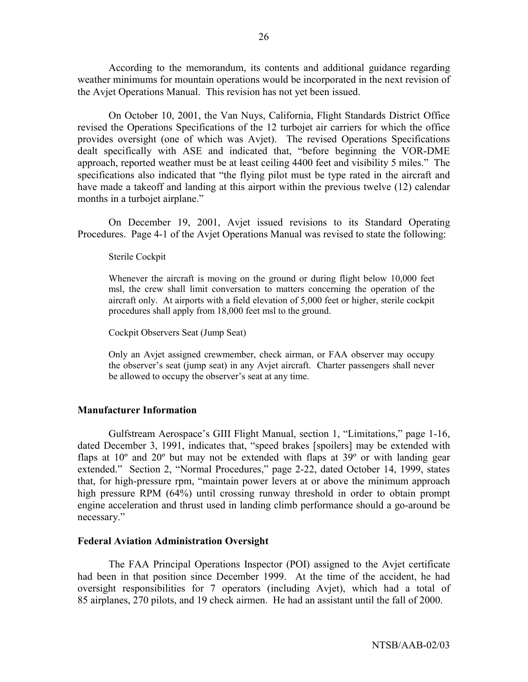According to the memorandum, its contents and additional guidance regarding weather minimums for mountain operations would be incorporated in the next revision of the Avjet Operations Manual. This revision has not yet been issued.

 On October 10, 2001, the Van Nuys, California, Flight Standards District Office revised the Operations Specifications of the 12 turbojet air carriers for which the office provides oversight (one of which was Avjet). The revised Operations Specifications dealt specifically with ASE and indicated that, "before beginning the VOR-DME approach, reported weather must be at least ceiling 4400 feet and visibility 5 miles." The specifications also indicated that "the flying pilot must be type rated in the aircraft and have made a takeoff and landing at this airport within the previous twelve (12) calendar months in a turbojet airplane."

On December 19, 2001, Avjet issued revisions to its Standard Operating Procedures. Page 4-1 of the Avjet Operations Manual was revised to state the following:

Sterile Cockpit

Whenever the aircraft is moving on the ground or during flight below 10,000 feet msl, the crew shall limit conversation to matters concerning the operation of the aircraft only. At airports with a field elevation of 5,000 feet or higher, sterile cockpit procedures shall apply from 18,000 feet msl to the ground.

Cockpit Observers Seat (Jump Seat)

Only an Avjet assigned crewmember, check airman, or FAA observer may occupy the observer's seat (jump seat) in any Avjet aircraft. Charter passengers shall never be allowed to occupy the observer's seat at any time.

### **Manufacturer Information**

Gulfstream Aerospace's GIII Flight Manual, section 1, "Limitations," page 1-16, dated December 3, 1991, indicates that, "speed brakes [spoilers] may be extended with flaps at  $10^{\circ}$  and  $20^{\circ}$  but may not be extended with flaps at  $39^{\circ}$  or with landing gear extended." Section 2, "Normal Procedures," page 2-22, dated October 14, 1999, states that, for high-pressure rpm, "maintain power levers at or above the minimum approach high pressure RPM (64%) until crossing runway threshold in order to obtain prompt engine acceleration and thrust used in landing climb performance should a go-around be necessary."

### **Federal Aviation Administration Oversight**

The FAA Principal Operations Inspector (POI) assigned to the Avjet certificate had been in that position since December 1999. At the time of the accident, he had oversight responsibilities for 7 operators (including Avjet), which had a total of 85 airplanes, 270 pilots, and 19 check airmen. He had an assistant until the fall of 2000.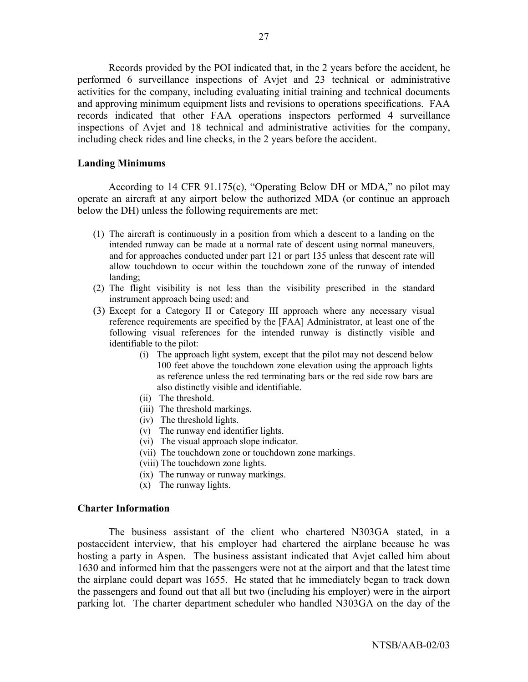Records provided by the POI indicated that, in the 2 years before the accident, he performed 6 surveillance inspections of Avjet and 23 technical or administrative activities for the company, including evaluating initial training and technical documents and approving minimum equipment lists and revisions to operations specifications. FAA records indicated that other FAA operations inspectors performed 4 surveillance inspections of Avjet and 18 technical and administrative activities for the company, including check rides and line checks, in the 2 years before the accident.

### **Landing Minimums**

According to 14 CFR 91.175 $(c)$ , "Operating Below DH or MDA," no pilot may operate an aircraft at any airport below the authorized MDA (or continue an approach below the DH) unless the following requirements are met:

- (1) The aircraft is continuously in a position from which a descent to a landing on the intended runway can be made at a normal rate of descent using normal maneuvers, and for approaches conducted under part 121 or part 135 unless that descent rate will allow touchdown to occur within the touchdown zone of the runway of intended landing;
- (2) The flight visibility is not less than the visibility prescribed in the standard instrument approach being used; and
- (3) Except for a Category II or Category III approach where any necessary visual reference requirements are specified by the [FAA] Administrator, at least one of the following visual references for the intended runway is distinctly visible and identifiable to the pilot:
	- (i) The approach light system, except that the pilot may not descend below 100 feet above the touchdown zone elevation using the approach lights as reference unless the red terminating bars or the red side row bars are also distinctly visible and identifiable.
	- (ii) The threshold.
	- (iii) The threshold markings.
	- (iv) The threshold lights.
	- (v) The runway end identifier lights.
	- (vi) The visual approach slope indicator.
	- (vii) The touchdown zone or touchdown zone markings.
	- (viii) The touchdown zone lights.
	- (ix) The runway or runway markings.
	- (x) The runway lights.

### **Charter Information**

The business assistant of the client who chartered N303GA stated, in a postaccident interview, that his employer had chartered the airplane because he was hosting a party in Aspen. The business assistant indicated that Avjet called him about 1630 and informed him that the passengers were not at the airport and that the latest time the airplane could depart was 1655. He stated that he immediately began to track down the passengers and found out that all but two (including his employer) were in the airport parking lot. The charter department scheduler who handled N303GA on the day of the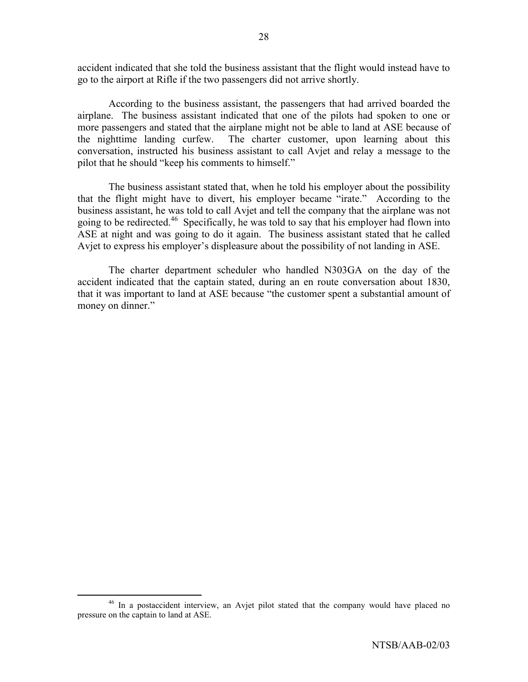accident indicated that she told the business assistant that the flight would instead have to go to the airport at Rifle if the two passengers did not arrive shortly.

According to the business assistant, the passengers that had arrived boarded the airplane. The business assistant indicated that one of the pilots had spoken to one or more passengers and stated that the airplane might not be able to land at ASE because of the nighttime landing curfew. The charter customer, upon learning about this conversation, instructed his business assistant to call Avjet and relay a message to the pilot that he should "keep his comments to himself."

The business assistant stated that, when he told his employer about the possibility that the flight might have to divert, his employer became "irate." According to the business assistant, he was told to call Avjet and tell the company that the airplane was not going to be redirected.46 Specifically, he was told to say that his employer had flown into ASE at night and was going to do it again. The business assistant stated that he called Avjet to express his employer's displeasure about the possibility of not landing in ASE.

The charter department scheduler who handled N303GA on the day of the accident indicated that the captain stated, during an en route conversation about 1830, that it was important to land at ASE because "the customer spent a substantial amount of money on dinner."

<sup>&</sup>lt;sup>46</sup> In a postaccident interview, an Avjet pilot stated that the company would have placed no pressure on the captain to land at ASE.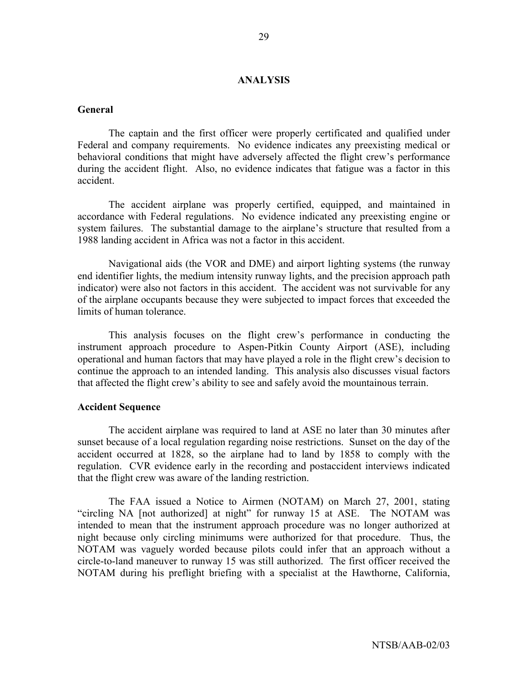### **ANALYSIS**

### **General**

 The captain and the first officer were properly certificated and qualified under Federal and company requirements. No evidence indicates any preexisting medical or behavioral conditions that might have adversely affected the flight crew's performance during the accident flight. Also, no evidence indicates that fatigue was a factor in this accident.

The accident airplane was properly certified, equipped, and maintained in accordance with Federal regulations. No evidence indicated any preexisting engine or system failures. The substantial damage to the airplane's structure that resulted from a 1988 landing accident in Africa was not a factor in this accident.

Navigational aids (the VOR and DME) and airport lighting systems (the runway end identifier lights, the medium intensity runway lights, and the precision approach path indicator) were also not factors in this accident. The accident was not survivable for any of the airplane occupants because they were subjected to impact forces that exceeded the limits of human tolerance.

This analysis focuses on the flight crew's performance in conducting the instrument approach procedure to Aspen-Pitkin County Airport (ASE), including operational and human factors that may have played a role in the flight crew's decision to continue the approach to an intended landing. This analysis also discusses visual factors that affected the flight crew's ability to see and safely avoid the mountainous terrain.

### **Accident Sequence**

The accident airplane was required to land at ASE no later than 30 minutes after sunset because of a local regulation regarding noise restrictions. Sunset on the day of the accident occurred at 1828, so the airplane had to land by 1858 to comply with the regulation. CVR evidence early in the recording and postaccident interviews indicated that the flight crew was aware of the landing restriction.

The FAA issued a Notice to Airmen (NOTAM) on March 27, 2001, stating "circling NA [not authorized] at night" for runway 15 at ASE. The NOTAM was intended to mean that the instrument approach procedure was no longer authorized at night because only circling minimums were authorized for that procedure. Thus, the NOTAM was vaguely worded because pilots could infer that an approach without a circle-to-land maneuver to runway 15 was still authorized. The first officer received the NOTAM during his preflight briefing with a specialist at the Hawthorne, California,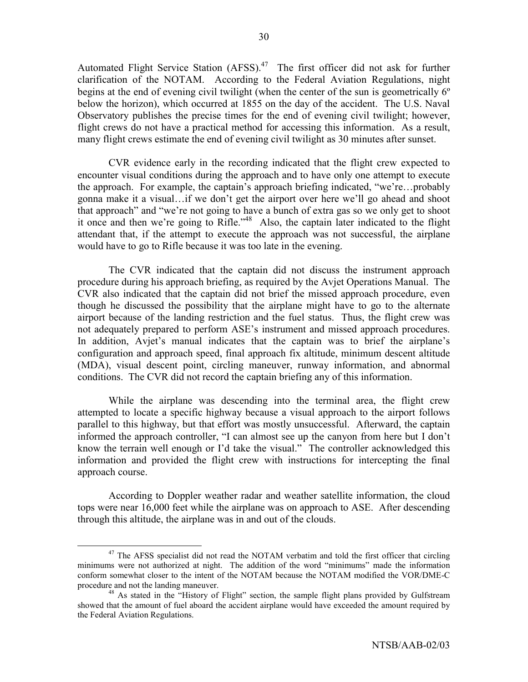Automated Flight Service Station (AFSS).<sup>47</sup> The first officer did not ask for further clarification of the NOTAM. According to the Federal Aviation Regulations, night begins at the end of evening civil twilight (when the center of the sun is geometrically 6º below the horizon), which occurred at 1855 on the day of the accident. The U.S. Naval Observatory publishes the precise times for the end of evening civil twilight; however, flight crews do not have a practical method for accessing this information. As a result, many flight crews estimate the end of evening civil twilight as 30 minutes after sunset.

CVR evidence early in the recording indicated that the flight crew expected to encounter visual conditions during the approach and to have only one attempt to execute the approach. For example, the captain's approach briefing indicated, "we're...probably gonna make it a visual...if we don't get the airport over here we'll go ahead and shoot that approach" and "we're not going to have a bunch of extra gas so we only get to shoot it once and then we're going to Rifle.<sup> $148$ </sup> Also, the captain later indicated to the flight attendant that, if the attempt to execute the approach was not successful, the airplane would have to go to Rifle because it was too late in the evening.

The CVR indicated that the captain did not discuss the instrument approach procedure during his approach briefing, as required by the Avjet Operations Manual. The CVR also indicated that the captain did not brief the missed approach procedure, even though he discussed the possibility that the airplane might have to go to the alternate airport because of the landing restriction and the fuel status. Thus, the flight crew was not adequately prepared to perform ASE's instrument and missed approach procedures. In addition, Avjet's manual indicates that the captain was to brief the airplane's configuration and approach speed, final approach fix altitude, minimum descent altitude (MDA), visual descent point, circling maneuver, runway information, and abnormal conditions. The CVR did not record the captain briefing any of this information.

While the airplane was descending into the terminal area, the flight crew attempted to locate a specific highway because a visual approach to the airport follows parallel to this highway, but that effort was mostly unsuccessful. Afterward, the captain informed the approach controller, "I can almost see up the canyon from here but I don't know the terrain well enough or I'd take the visual." The controller acknowledged this information and provided the flight crew with instructions for intercepting the final approach course.

According to Doppler weather radar and weather satellite information, the cloud tops were near 16,000 feet while the airplane was on approach to ASE. After descending through this altitude, the airplane was in and out of the clouds.

<sup>&</sup>lt;sup>47</sup> The AFSS specialist did not read the NOTAM verbatim and told the first officer that circling minimums were not authorized at night. The addition of the word "minimums" made the information conform somewhat closer to the intent of the NOTAM because the NOTAM modified the VOR/DME-C procedure and not the landing maneuver.<br><sup>48</sup> As stated in the "History of Flight" section, the sample flight plans provided by Gulfstream

showed that the amount of fuel aboard the accident airplane would have exceeded the amount required by the Federal Aviation Regulations.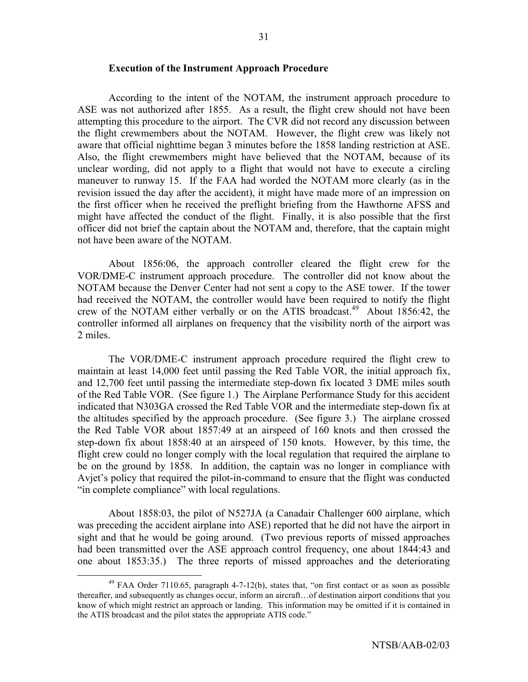### **Execution of the Instrument Approach Procedure**

According to the intent of the NOTAM, the instrument approach procedure to ASE was not authorized after 1855. As a result, the flight crew should not have been attempting this procedure to the airport. The CVR did not record any discussion between the flight crewmembers about the NOTAM. However, the flight crew was likely not aware that official nighttime began 3 minutes before the 1858 landing restriction at ASE. Also, the flight crewmembers might have believed that the NOTAM, because of its unclear wording, did not apply to a flight that would not have to execute a circling maneuver to runway 15. If the FAA had worded the NOTAM more clearly (as in the revision issued the day after the accident), it might have made more of an impression on the first officer when he received the preflight briefing from the Hawthorne AFSS and might have affected the conduct of the flight. Finally, it is also possible that the first officer did not brief the captain about the NOTAM and, therefore, that the captain might not have been aware of the NOTAM.

About 1856:06, the approach controller cleared the flight crew for the VOR/DME-C instrument approach procedure. The controller did not know about the NOTAM because the Denver Center had not sent a copy to the ASE tower. If the tower had received the NOTAM, the controller would have been required to notify the flight crew of the NOTAM either verbally or on the ATIS broadcast.<sup>49</sup> About 1856:42, the controller informed all airplanes on frequency that the visibility north of the airport was 2 miles.

The VOR/DME-C instrument approach procedure required the flight crew to maintain at least 14,000 feet until passing the Red Table VOR, the initial approach fix, and 12,700 feet until passing the intermediate step-down fix located 3 DME miles south of the Red Table VOR. (See figure 1.) The Airplane Performance Study for this accident indicated that N303GA crossed the Red Table VOR and the intermediate step-down fix at the altitudes specified by the approach procedure. (See figure 3.) The airplane crossed the Red Table VOR about 1857:49 at an airspeed of 160 knots and then crossed the step-down fix about 1858:40 at an airspeed of 150 knots. However, by this time, the flight crew could no longer comply with the local regulation that required the airplane to be on the ground by 1858. In addition, the captain was no longer in compliance with Avjet's policy that required the pilot-in-command to ensure that the flight was conducted "in complete compliance" with local regulations.

About 1858:03, the pilot of N527JA (a Canadair Challenger 600 airplane, which was preceding the accident airplane into ASE) reported that he did not have the airport in sight and that he would be going around. (Two previous reports of missed approaches had been transmitted over the ASE approach control frequency, one about 1844:43 and one about 1853:35.) The three reports of missed approaches and the deteriorating

 $^{49}$  FAA Order 7110.65, paragraph 4-7-12(b), states that, "on first contact or as soon as possible thereafter, and subsequently as changes occur, inform an aircraft... of destination airport conditions that you know of which might restrict an approach or landing. This information may be omitted if it is contained in the ATIS broadcast and the pilot states the appropriate ATIS code."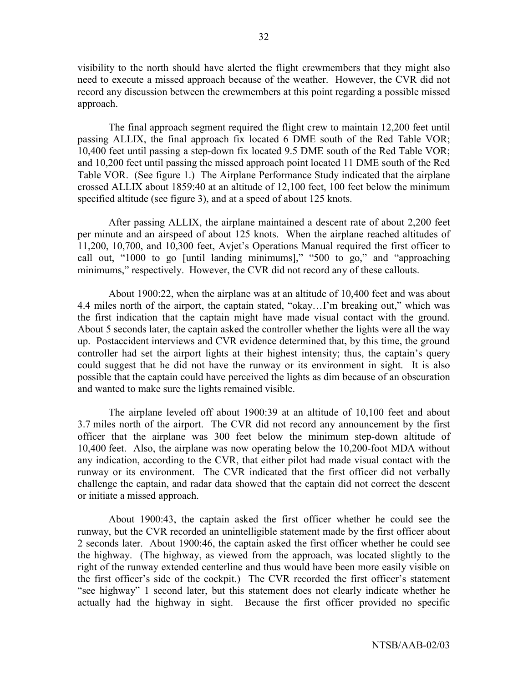visibility to the north should have alerted the flight crewmembers that they might also need to execute a missed approach because of the weather. However, the CVR did not record any discussion between the crewmembers at this point regarding a possible missed approach.

The final approach segment required the flight crew to maintain 12,200 feet until passing ALLIX, the final approach fix located 6 DME south of the Red Table VOR; 10,400 feet until passing a step-down fix located 9.5 DME south of the Red Table VOR; and 10,200 feet until passing the missed approach point located 11 DME south of the Red Table VOR. (See figure 1.) The Airplane Performance Study indicated that the airplane crossed ALLIX about 1859:40 at an altitude of 12,100 feet, 100 feet below the minimum specified altitude (see figure 3), and at a speed of about 125 knots.

 After passing ALLIX, the airplane maintained a descent rate of about 2,200 feet per minute and an airspeed of about 125 knots. When the airplane reached altitudes of 11,200, 10,700, and 10,300 feet, Avjetís Operations Manual required the first officer to call out,  $\degree$ 1000 to go [until landing minimums],"  $\degree$ 500 to go," and  $\degree$ approaching minimums," respectively. However, the CVR did not record any of these callouts.

About 1900:22, when the airplane was at an altitude of 10,400 feet and was about 4.4 miles north of the airport, the captain stated, "okay...I'm breaking out," which was the first indication that the captain might have made visual contact with the ground. About 5 seconds later, the captain asked the controller whether the lights were all the way up. Postaccident interviews and CVR evidence determined that, by this time, the ground controller had set the airport lights at their highest intensity; thus, the captain's query could suggest that he did not have the runway or its environment in sight. It is also possible that the captain could have perceived the lights as dim because of an obscuration and wanted to make sure the lights remained visible.

The airplane leveled off about 1900:39 at an altitude of 10,100 feet and about 3.7 miles north of the airport. The CVR did not record any announcement by the first officer that the airplane was 300 feet below the minimum step-down altitude of 10,400 feet. Also, the airplane was now operating below the 10,200-foot MDA without any indication, according to the CVR, that either pilot had made visual contact with the runway or its environment. The CVR indicated that the first officer did not verbally challenge the captain, and radar data showed that the captain did not correct the descent or initiate a missed approach.

About 1900:43, the captain asked the first officer whether he could see the runway, but the CVR recorded an unintelligible statement made by the first officer about 2 seconds later. About 1900:46, the captain asked the first officer whether he could see the highway. (The highway, as viewed from the approach, was located slightly to the right of the runway extended centerline and thus would have been more easily visible on the first officer's side of the cockpit.) The CVR recorded the first officer's statement "see highway" 1 second later, but this statement does not clearly indicate whether he actually had the highway in sight. Because the first officer provided no specific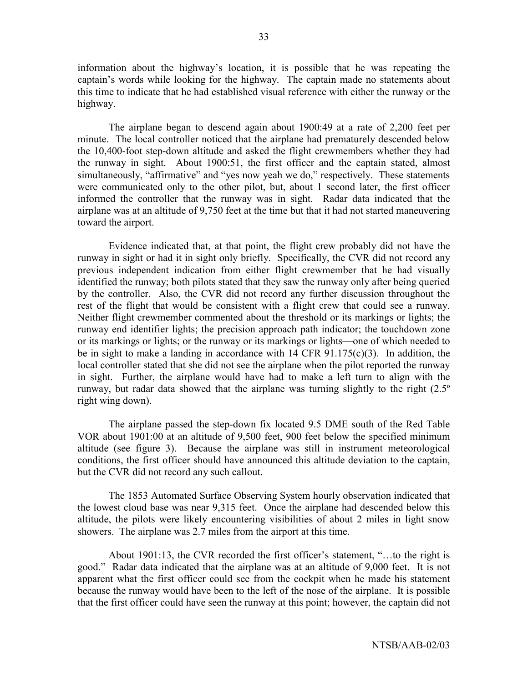information about the highway's location, it is possible that he was repeating the captain's words while looking for the highway. The captain made no statements about this time to indicate that he had established visual reference with either the runway or the highway.

The airplane began to descend again about 1900:49 at a rate of 2,200 feet per minute. The local controller noticed that the airplane had prematurely descended below the 10,400-foot step-down altitude and asked the flight crewmembers whether they had the runway in sight. About 1900:51, the first officer and the captain stated, almost simultaneously, "affirmative" and "yes now yeah we do," respectively. These statements were communicated only to the other pilot, but, about 1 second later, the first officer informed the controller that the runway was in sight. Radar data indicated that the airplane was at an altitude of 9,750 feet at the time but that it had not started maneuvering toward the airport.

Evidence indicated that, at that point, the flight crew probably did not have the runway in sight or had it in sight only briefly. Specifically, the CVR did not record any previous independent indication from either flight crewmember that he had visually identified the runway; both pilots stated that they saw the runway only after being queried by the controller. Also, the CVR did not record any further discussion throughout the rest of the flight that would be consistent with a flight crew that could see a runway. Neither flight crewmember commented about the threshold or its markings or lights; the runway end identifier lights; the precision approach path indicator; the touchdown zone or its markings or lights; or the runway or its markings or lights—one of which needed to be in sight to make a landing in accordance with  $14$  CFR  $91.175(c)(3)$ . In addition, the local controller stated that she did not see the airplane when the pilot reported the runway in sight. Further, the airplane would have had to make a left turn to align with the runway, but radar data showed that the airplane was turning slightly to the right (2.5º right wing down).

The airplane passed the step-down fix located 9.5 DME south of the Red Table VOR about 1901:00 at an altitude of 9,500 feet, 900 feet below the specified minimum altitude (see figure 3). Because the airplane was still in instrument meteorological conditions, the first officer should have announced this altitude deviation to the captain, but the CVR did not record any such callout.

The 1853 Automated Surface Observing System hourly observation indicated that the lowest cloud base was near 9,315 feet. Once the airplane had descended below this altitude, the pilots were likely encountering visibilities of about 2 miles in light snow showers. The airplane was 2.7 miles from the airport at this time.

About 1901:13, the CVR recorded the first officer's statement,  $\ldots$  to the right is good.î Radar data indicated that the airplane was at an altitude of 9,000 feet. It is not apparent what the first officer could see from the cockpit when he made his statement because the runway would have been to the left of the nose of the airplane. It is possible that the first officer could have seen the runway at this point; however, the captain did not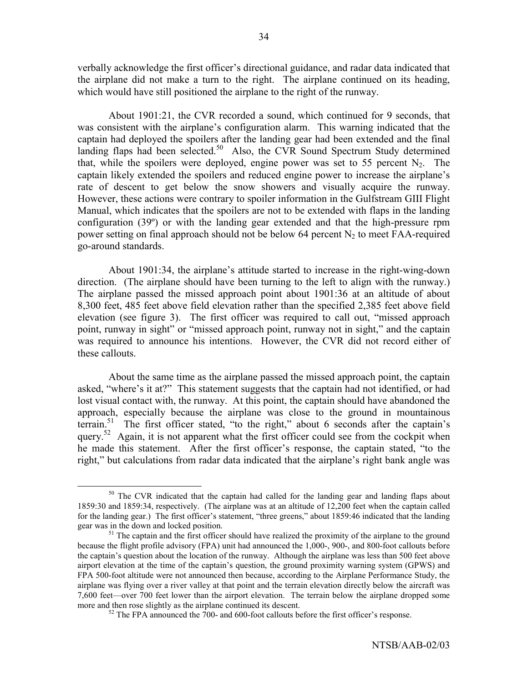verbally acknowledge the first officer's directional guidance, and radar data indicated that the airplane did not make a turn to the right. The airplane continued on its heading, which would have still positioned the airplane to the right of the runway.

About 1901:21, the CVR recorded a sound, which continued for 9 seconds, that was consistent with the airplane's configuration alarm. This warning indicated that the captain had deployed the spoilers after the landing gear had been extended and the final landing flaps had been selected.<sup>50</sup> Also, the CVR Sound Spectrum Study determined that, while the spoilers were deployed, engine power was set to 55 percent  $N_2$ . The captain likely extended the spoilers and reduced engine power to increase the airplane's rate of descent to get below the snow showers and visually acquire the runway. However, these actions were contrary to spoiler information in the Gulfstream GIII Flight Manual, which indicates that the spoilers are not to be extended with flaps in the landing configuration (39º) or with the landing gear extended and that the high-pressure rpm power setting on final approach should not be below 64 percent  $N_2$  to meet FAA-required go-around standards.

About 1901:34, the airplane's attitude started to increase in the right-wing-down direction. (The airplane should have been turning to the left to align with the runway.) The airplane passed the missed approach point about 1901:36 at an altitude of about 8,300 feet, 485 feet above field elevation rather than the specified 2,385 feet above field elevation (see figure 3). The first officer was required to call out, "missed approach point, runway in sight" or "missed approach point, runway not in sight," and the captain was required to announce his intentions. However, the CVR did not record either of these callouts.

About the same time as the airplane passed the missed approach point, the captain asked, "where's it at?" This statement suggests that the captain had not identified, or had lost visual contact with, the runway. At this point, the captain should have abandoned the approach, especially because the airplane was close to the ground in mountainous terrain.<sup>51</sup> The first officer stated, "to the right," about 6 seconds after the captain's query.<sup>52</sup> Again, it is not apparent what the first officer could see from the cockpit when he made this statement. After the first officer's response, the captain stated, "to the right," but calculations from radar data indicated that the airplane's right bank angle was

<sup>&</sup>lt;sup>50</sup> The CVR indicated that the captain had called for the landing gear and landing flaps about 1859:30 and 1859:34, respectively. (The airplane was at an altitude of 12,200 feet when the captain called for the landing gear.) The first officer's statement, "three greens," about 1859:46 indicated that the landing gear was in the down and locked position.<br><sup>51</sup> The captain and the first officer should have realized the proximity of the airplane to the ground

because the flight profile advisory (FPA) unit had announced the 1,000-, 900-, and 800-foot callouts before the captain's question about the location of the runway. Although the airplane was less than 500 feet above airport elevation at the time of the captain's question, the ground proximity warning system (GPWS) and FPA 500-foot altitude were not announced then because, according to the Airplane Performance Study, the airplane was flying over a river valley at that point and the terrain elevation directly below the aircraft was 7,600 feet—over 700 feet lower than the airport elevation. The terrain below the airplane dropped some more and then rose slightly as the airplane continued its descent.<br> $52$  The FPA announced the 700- and 600-foot callouts before the first officer's response.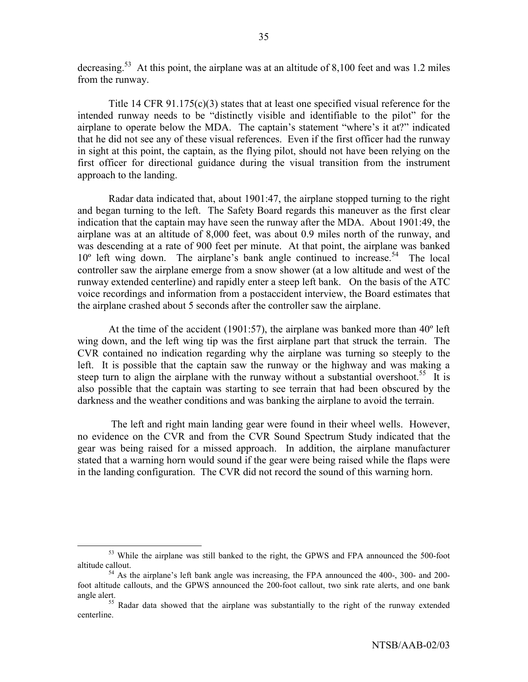decreasing.<sup>53</sup> At this point, the airplane was at an altitude of 8,100 feet and was 1.2 miles from the runway.

Title 14 CFR  $91.175(c)(3)$  states that at least one specified visual reference for the intended runway needs to be "distinctly visible and identifiable to the pilot" for the airplane to operate below the MDA. The captain's statement "where's it at?" indicated that he did not see any of these visual references. Even if the first officer had the runway in sight at this point, the captain, as the flying pilot, should not have been relying on the first officer for directional guidance during the visual transition from the instrument approach to the landing.

Radar data indicated that, about 1901:47, the airplane stopped turning to the right and began turning to the left. The Safety Board regards this maneuver as the first clear indication that the captain may have seen the runway after the MDA. About 1901:49, the airplane was at an altitude of 8,000 feet, was about 0.9 miles north of the runway, and was descending at a rate of 900 feet per minute. At that point, the airplane was banked  $10^{\circ}$  left wing down. The airplane's bank angle continued to increase.<sup>54</sup> The local controller saw the airplane emerge from a snow shower (at a low altitude and west of the runway extended centerline) and rapidly enter a steep left bank. On the basis of the ATC voice recordings and information from a postaccident interview, the Board estimates that the airplane crashed about 5 seconds after the controller saw the airplane.

At the time of the accident (1901:57), the airplane was banked more than 40º left wing down, and the left wing tip was the first airplane part that struck the terrain. The CVR contained no indication regarding why the airplane was turning so steeply to the left. It is possible that the captain saw the runway or the highway and was making a steep turn to align the airplane with the runway without a substantial overshoot.<sup>55</sup> It is also possible that the captain was starting to see terrain that had been obscured by the darkness and the weather conditions and was banking the airplane to avoid the terrain.

 The left and right main landing gear were found in their wheel wells. However, no evidence on the CVR and from the CVR Sound Spectrum Study indicated that the gear was being raised for a missed approach. In addition, the airplane manufacturer stated that a warning horn would sound if the gear were being raised while the flaps were in the landing configuration. The CVR did not record the sound of this warning horn.

<sup>&</sup>lt;sup>53</sup> While the airplane was still banked to the right, the GPWS and FPA announced the 500-foot altitude callout.<br> $54$  As the airplane's left bank angle was increasing, the FPA announced the 400-, 300- and 200-

foot altitude callouts, and the GPWS announced the 200-foot callout, two sink rate alerts, and one bank angle alert.<br><sup>55</sup> Radar data showed that the airplane was substantially to the right of the runway extended

centerline.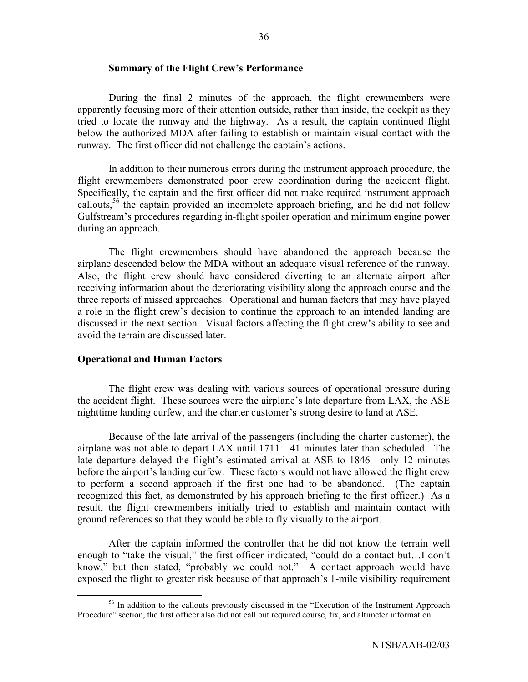### **Summary of the Flight Crew's Performance**

During the final 2 minutes of the approach, the flight crewmembers were apparently focusing more of their attention outside, rather than inside, the cockpit as they tried to locate the runway and the highway. As a result, the captain continued flight below the authorized MDA after failing to establish or maintain visual contact with the runway. The first officer did not challenge the captain's actions.

In addition to their numerous errors during the instrument approach procedure, the flight crewmembers demonstrated poor crew coordination during the accident flight. Specifically, the captain and the first officer did not make required instrument approach callouts,  $56$  the captain provided an incomplete approach briefing, and he did not follow Gulfstream's procedures regarding in-flight spoiler operation and minimum engine power during an approach.

The flight crewmembers should have abandoned the approach because the airplane descended below the MDA without an adequate visual reference of the runway. Also, the flight crew should have considered diverting to an alternate airport after receiving information about the deteriorating visibility along the approach course and the three reports of missed approaches. Operational and human factors that may have played a role in the flight crew's decision to continue the approach to an intended landing are discussed in the next section. Visual factors affecting the flight crew's ability to see and avoid the terrain are discussed later.

### **Operational and Human Factors**

The flight crew was dealing with various sources of operational pressure during the accident flight. These sources were the airplane's late departure from LAX, the ASE nighttime landing curfew, and the charter customer's strong desire to land at ASE.

Because of the late arrival of the passengers (including the charter customer), the airplane was not able to depart LAX until  $1711-41$  minutes later than scheduled. The late departure delayed the flight's estimated arrival at ASE to 1846—only 12 minutes before the airport's landing curfew. These factors would not have allowed the flight crew to perform a second approach if the first one had to be abandoned. (The captain recognized this fact, as demonstrated by his approach briefing to the first officer.) As a result, the flight crewmembers initially tried to establish and maintain contact with ground references so that they would be able to fly visually to the airport.

After the captain informed the controller that he did not know the terrain well enough to "take the visual," the first officer indicated, "could do a contact but...I don't know," but then stated, "probably we could not." A contact approach would have exposed the flight to greater risk because of that approach's 1-mile visibility requirement

 $56$  In addition to the callouts previously discussed in the "Execution of the Instrument Approach Procedure" section, the first officer also did not call out required course, fix, and altimeter information.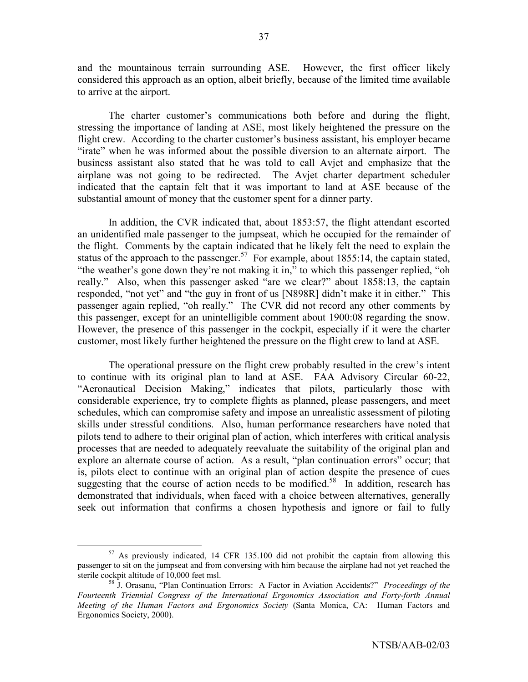and the mountainous terrain surrounding ASE. However, the first officer likely considered this approach as an option, albeit briefly, because of the limited time available to arrive at the airport.

The charter customer's communications both before and during the flight, stressing the importance of landing at ASE, most likely heightened the pressure on the flight crew. According to the charter customer's business assistant, his employer became "irate" when he was informed about the possible diversion to an alternate airport. The business assistant also stated that he was told to call Avjet and emphasize that the airplane was not going to be redirected. The Avjet charter department scheduler indicated that the captain felt that it was important to land at ASE because of the substantial amount of money that the customer spent for a dinner party.

In addition, the CVR indicated that, about 1853:57, the flight attendant escorted an unidentified male passenger to the jumpseat, which he occupied for the remainder of the flight. Comments by the captain indicated that he likely felt the need to explain the status of the approach to the passenger.<sup>57</sup> For example, about 1855:14, the captain stated, "the weather's gone down they're not making it in," to which this passenger replied, "oh really." Also, when this passenger asked "are we clear?" about 1858:13, the captain responded, "not yet" and "the guy in front of us [N898R] didn't make it in either." This passenger again replied, "oh really." The CVR did not record any other comments by this passenger, except for an unintelligible comment about 1900:08 regarding the snow. However, the presence of this passenger in the cockpit, especially if it were the charter customer, most likely further heightened the pressure on the flight crew to land at ASE.

The operational pressure on the flight crew probably resulted in the crew's intent to continue with its original plan to land at ASE. FAA Advisory Circular 60-22, "Aeronautical Decision Making," indicates that pilots, particularly those with considerable experience, try to complete flights as planned, please passengers, and meet schedules, which can compromise safety and impose an unrealistic assessment of piloting skills under stressful conditions. Also, human performance researchers have noted that pilots tend to adhere to their original plan of action, which interferes with critical analysis processes that are needed to adequately reevaluate the suitability of the original plan and explore an alternate course of action. As a result, "plan continuation errors" occur; that is, pilots elect to continue with an original plan of action despite the presence of cues suggesting that the course of action needs to be modified.<sup>58</sup> In addition, research has demonstrated that individuals, when faced with a choice between alternatives, generally seek out information that confirms a chosen hypothesis and ignore or fail to fully

<sup>&</sup>lt;sup>57</sup> As previously indicated, 14 CFR 135.100 did not prohibit the captain from allowing this passenger to sit on the jumpseat and from conversing with him because the airplane had not yet reached the sterile cockpit altitude of 10,000 feet msl.<br><sup>58</sup> J. Orasanu, "Plan Continuation Errors: A Factor in Aviation Accidents?" *Proceedings of the* 

*Fourteenth Triennial Congress of the International Ergonomics Association and Forty-forth Annual Meeting of the Human Factors and Ergonomics Society* (Santa Monica, CA: Human Factors and Ergonomics Society, 2000).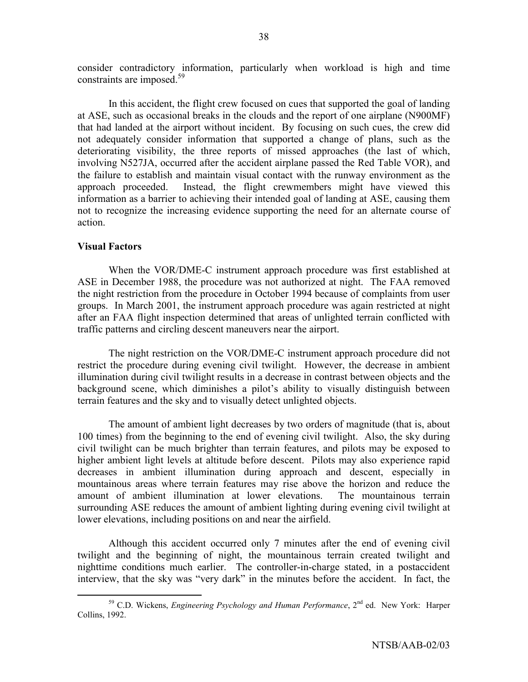consider contradictory information, particularly when workload is high and time constraints are imposed.<sup>59</sup>

In this accident, the flight crew focused on cues that supported the goal of landing at ASE, such as occasional breaks in the clouds and the report of one airplane (N900MF) that had landed at the airport without incident. By focusing on such cues, the crew did not adequately consider information that supported a change of plans, such as the deteriorating visibility, the three reports of missed approaches (the last of which, involving N527JA, occurred after the accident airplane passed the Red Table VOR), and the failure to establish and maintain visual contact with the runway environment as the approach proceeded. Instead, the flight crewmembers might have viewed this information as a barrier to achieving their intended goal of landing at ASE, causing them not to recognize the increasing evidence supporting the need for an alternate course of action.

## **Visual Factors**

When the VOR/DME-C instrument approach procedure was first established at ASE in December 1988, the procedure was not authorized at night. The FAA removed the night restriction from the procedure in October 1994 because of complaints from user groups. In March 2001, the instrument approach procedure was again restricted at night after an FAA flight inspection determined that areas of unlighted terrain conflicted with traffic patterns and circling descent maneuvers near the airport.

The night restriction on the VOR/DME-C instrument approach procedure did not restrict the procedure during evening civil twilight. However, the decrease in ambient illumination during civil twilight results in a decrease in contrast between objects and the background scene, which diminishes a pilot's ability to visually distinguish between terrain features and the sky and to visually detect unlighted objects.

The amount of ambient light decreases by two orders of magnitude (that is, about 100 times) from the beginning to the end of evening civil twilight. Also, the sky during civil twilight can be much brighter than terrain features, and pilots may be exposed to higher ambient light levels at altitude before descent. Pilots may also experience rapid decreases in ambient illumination during approach and descent, especially in mountainous areas where terrain features may rise above the horizon and reduce the amount of ambient illumination at lower elevations. The mountainous terrain surrounding ASE reduces the amount of ambient lighting during evening civil twilight at lower elevations, including positions on and near the airfield.

Although this accident occurred only 7 minutes after the end of evening civil twilight and the beginning of night, the mountainous terrain created twilight and nighttime conditions much earlier. The controller-in-charge stated, in a postaccident interview, that the sky was "very dark" in the minutes before the accident. In fact, the

<sup>&</sup>lt;sup>59</sup> C.D. Wickens, *Engineering Psychology and Human Performance*, 2<sup>nd</sup> ed. New York: Harper Collins, 1992.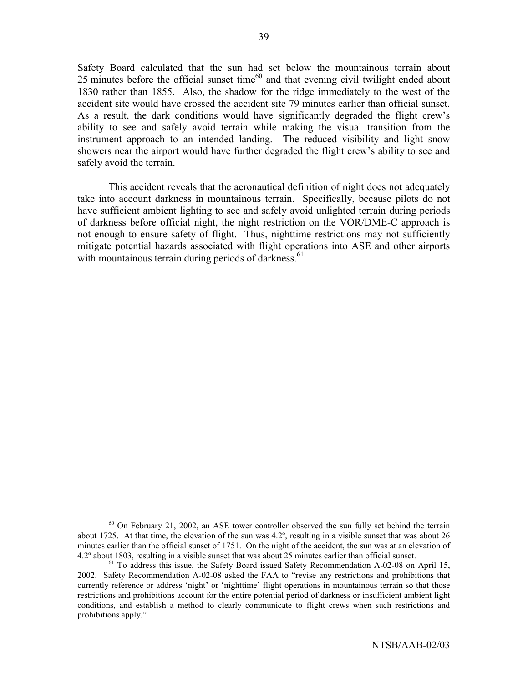Safety Board calculated that the sun had set below the mountainous terrain about 25 minutes before the official sunset time<sup>60</sup> and that evening civil twilight ended about 1830 rather than 1855. Also, the shadow for the ridge immediately to the west of the accident site would have crossed the accident site 79 minutes earlier than official sunset. As a result, the dark conditions would have significantly degraded the flight crew's ability to see and safely avoid terrain while making the visual transition from the instrument approach to an intended landing. The reduced visibility and light snow showers near the airport would have further degraded the flight crew's ability to see and safely avoid the terrain.

This accident reveals that the aeronautical definition of night does not adequately take into account darkness in mountainous terrain. Specifically, because pilots do not have sufficient ambient lighting to see and safely avoid unlighted terrain during periods of darkness before official night, the night restriction on the VOR/DME-C approach is not enough to ensure safety of flight. Thus, nighttime restrictions may not sufficiently mitigate potential hazards associated with flight operations into ASE and other airports with mountainous terrain during periods of darkness.<sup>61</sup>

 $60$  On February 21, 2002, an ASE tower controller observed the sun fully set behind the terrain about 1725. At that time, the elevation of the sun was 4.2º, resulting in a visible sunset that was about 26 minutes earlier than the official sunset of 1751. On the night of the accident, the sun was at an elevation of 4.2° about 1803, resulting in a visible sunset that was about 25 minutes earlier than official sunset.<br><sup>61</sup> To address this issue, the Safety Board issued Safety Recommendation A-02-08 on April 15,

<sup>2002.</sup> Safety Recommendation A-02-08 asked the FAA to "revise any restrictions and prohibitions that currently reference or address 'night' or 'nighttime' flight operations in mountainous terrain so that those restrictions and prohibitions account for the entire potential period of darkness or insufficient ambient light conditions, and establish a method to clearly communicate to flight crews when such restrictions and prohibitions apply."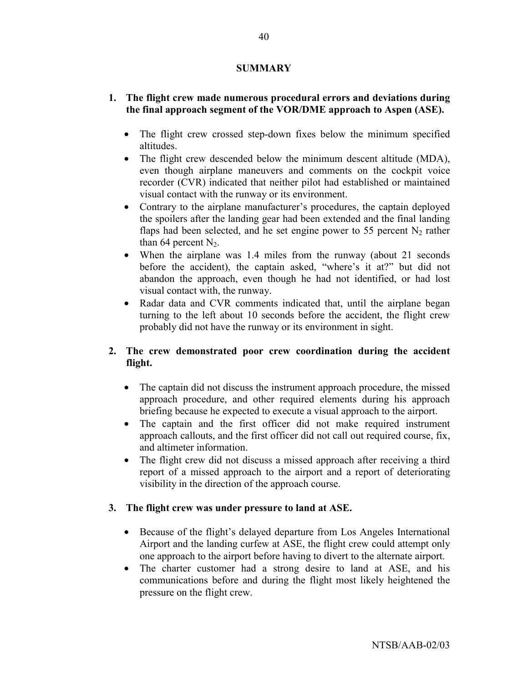### **SUMMARY**

# **1. The flight crew made numerous procedural errors and deviations during the final approach segment of the VOR/DME approach to Aspen (ASE).**

- The flight crew crossed step-down fixes below the minimum specified altitudes.
- The flight crew descended below the minimum descent altitude (MDA), even though airplane maneuvers and comments on the cockpit voice recorder (CVR) indicated that neither pilot had established or maintained visual contact with the runway or its environment.
- Contrary to the airplane manufacturer's procedures, the captain deployed the spoilers after the landing gear had been extended and the final landing flaps had been selected, and he set engine power to 55 percent  $N_2$  rather than 64 percent  $N_2$ .
- When the airplane was 1.4 miles from the runway (about 21 seconds before the accident), the captain asked, "where's it at?" but did not abandon the approach, even though he had not identified, or had lost visual contact with, the runway.
- Radar data and CVR comments indicated that, until the airplane began turning to the left about 10 seconds before the accident, the flight crew probably did not have the runway or its environment in sight.

# **2. The crew demonstrated poor crew coordination during the accident flight.**

- The captain did not discuss the instrument approach procedure, the missed approach procedure, and other required elements during his approach briefing because he expected to execute a visual approach to the airport.
- The captain and the first officer did not make required instrument approach callouts, and the first officer did not call out required course, fix, and altimeter information.
- The flight crew did not discuss a missed approach after receiving a third report of a missed approach to the airport and a report of deteriorating visibility in the direction of the approach course.

# **3. The flight crew was under pressure to land at ASE.**

- Because of the flight's delayed departure from Los Angeles International Airport and the landing curfew at ASE, the flight crew could attempt only one approach to the airport before having to divert to the alternate airport.
- The charter customer had a strong desire to land at ASE, and his communications before and during the flight most likely heightened the pressure on the flight crew.